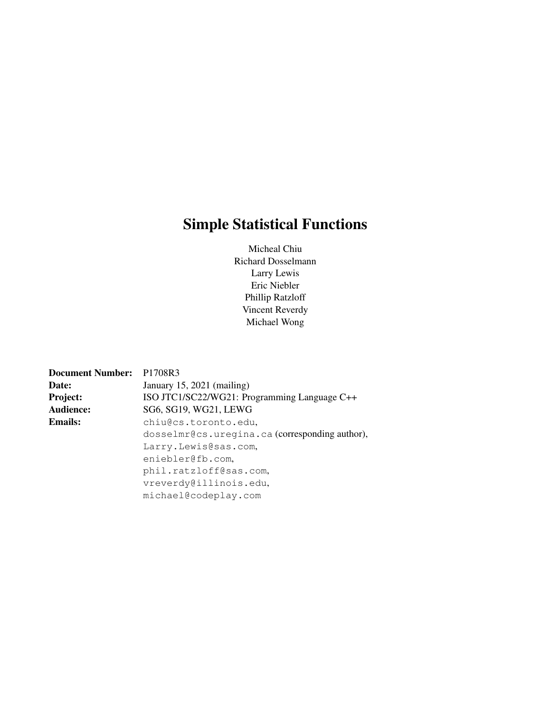# Simple Statistical Functions

Micheal Chiu Richard Dosselmann Larry Lewis Eric Niebler Phillip Ratzloff Vincent Reverdy Michael Wong

| Document Number: P1708R3 |                                                |
|--------------------------|------------------------------------------------|
| Date:                    | January 15, 2021 (mailing)                     |
| <b>Project:</b>          | ISO JTC1/SC22/WG21: Programming Language C++   |
| Audience:                | SG6, SG19, WG21, LEWG                          |
| <b>Emails:</b>           | chiu@cs.toronto.edu,                           |
|                          | dosselmr@cs.uregina.ca (corresponding author), |
|                          | Larry.Lewis@sas.com,                           |
|                          | eniebler@fb.com.                               |
|                          | phil.ratzloff@sas.com,                         |
|                          | vreverdy@illinois.edu,                         |
|                          | michael@codeplay.com                           |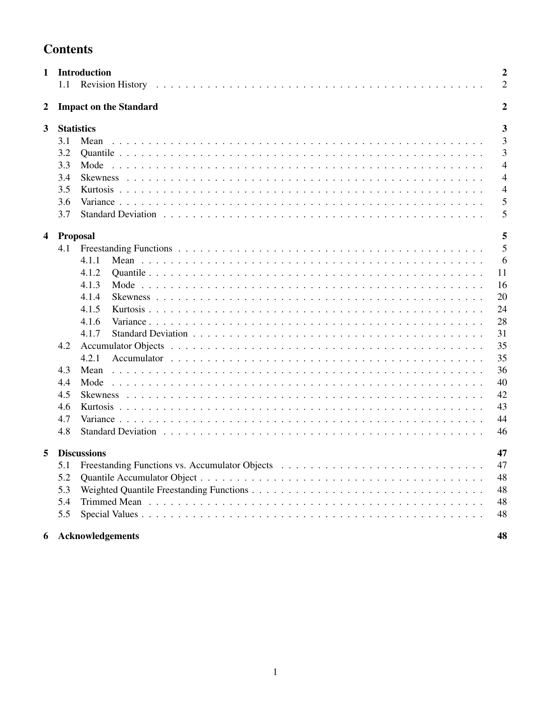| 1<br><b>Introduction</b> |                 |                               | $\overline{2}$ |
|--------------------------|-----------------|-------------------------------|----------------|
|                          | 1.1             |                               | $\overline{2}$ |
| $\overline{\mathbf{2}}$  |                 | <b>Impact on the Standard</b> | $\overline{2}$ |
| 3                        |                 | <b>Statistics</b>             | 3              |
|                          | 3.1             | Mean                          | 3              |
|                          | 3.2             |                               | 3              |
|                          | 3.3             | Mode                          | $\overline{4}$ |
|                          | 3.4             |                               | $\overline{4}$ |
|                          | 3.5             |                               | $\overline{4}$ |
|                          | 3.6             |                               | 5              |
|                          | 3.7             |                               | 5              |
| 4                        | <b>Proposal</b> |                               | 5              |
|                          | 4.1             |                               | 5              |
|                          |                 | 4.1.1                         | 6              |
|                          |                 | 4.1.2                         | 11             |
|                          |                 | 4.1.3                         | 16             |
|                          |                 | 4.1.4                         | 20             |
|                          |                 | 4.1.5                         | 24             |
|                          |                 | 4.1.6                         | 28             |
|                          |                 | 4.1.7                         | 31             |
|                          | 4.2             |                               | 35             |
|                          |                 | 4.2.1                         | 35             |
|                          | 4.3             | Mean                          | 36             |
|                          | 4.4             | Mode                          | 40             |
|                          | 4.5             |                               | 42             |
|                          | 4.6             |                               | 43             |
|                          | 4.7             |                               | 44             |
|                          | 4.8             |                               | 46             |
| 5                        |                 | <b>Discussions</b>            | 47             |
|                          | 5.1             |                               | 47             |
|                          | 5.2             |                               | 48             |
|                          | 5.3             |                               | 48             |
|                          | 5.4             |                               | 48             |
|                          | 5.5             |                               | 48             |
| 6                        |                 | Acknowledgements              | 48             |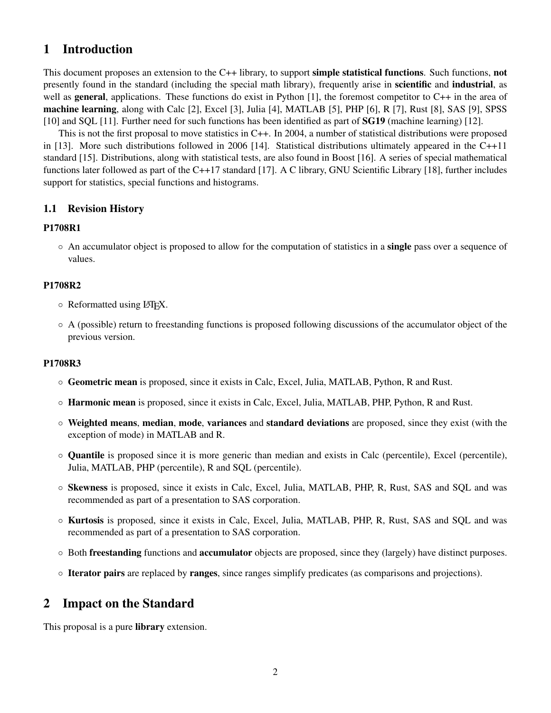## 1 Introduction

This document proposes an extension to the C++ library, to support simple statistical functions. Such functions, not presently found in the standard (including the special math library), frequently arise in scientific and industrial, as well as **general**, applications. These functions do exist in Python [1], the foremost competitor to C++ in the area of machine learning, along with Calc [2], Excel [3], Julia [4], MATLAB [5], PHP [6], R [7], Rust [8], SAS [9], SPSS [10] and SOL [11]. Further need for such functions has been identified as part of **SG19** (machine learning) [12].

This is not the first proposal to move statistics in C++. In 2004, a number of statistical distributions were proposed in [13]. More such distributions followed in 2006 [14]. Statistical distributions ultimately appeared in the C++11 standard [15]. Distributions, along with statistical tests, are also found in Boost [16]. A series of special mathematical functions later followed as part of the C++17 standard [17]. A C library, GNU Scientific Library [18], further includes support for statistics, special functions and histograms.

## 1.1 Revision History

## P1708R1

◦ An accumulator object is proposed to allow for the computation of statistics in a single pass over a sequence of values.

## P1708R2

- Reformatted using LATEX.
- A (possible) return to freestanding functions is proposed following discussions of the accumulator object of the previous version.

## P1708R3

- Geometric mean is proposed, since it exists in Calc, Excel, Julia, MATLAB, Python, R and Rust.
- Harmonic mean is proposed, since it exists in Calc, Excel, Julia, MATLAB, PHP, Python, R and Rust.
- Weighted means, median, mode, variances and standard deviations are proposed, since they exist (with the exception of mode) in MATLAB and R.
- Quantile is proposed since it is more generic than median and exists in Calc (percentile), Excel (percentile), Julia, MATLAB, PHP (percentile), R and SQL (percentile).
- Skewness is proposed, since it exists in Calc, Excel, Julia, MATLAB, PHP, R, Rust, SAS and SQL and was recommended as part of a presentation to SAS corporation.
- Kurtosis is proposed, since it exists in Calc, Excel, Julia, MATLAB, PHP, R, Rust, SAS and SQL and was recommended as part of a presentation to SAS corporation.
- Both freestanding functions and accumulator objects are proposed, since they (largely) have distinct purposes.
- Iterator pairs are replaced by ranges, since ranges simplify predicates (as comparisons and projections).

## 2 Impact on the Standard

This proposal is a pure **library** extension.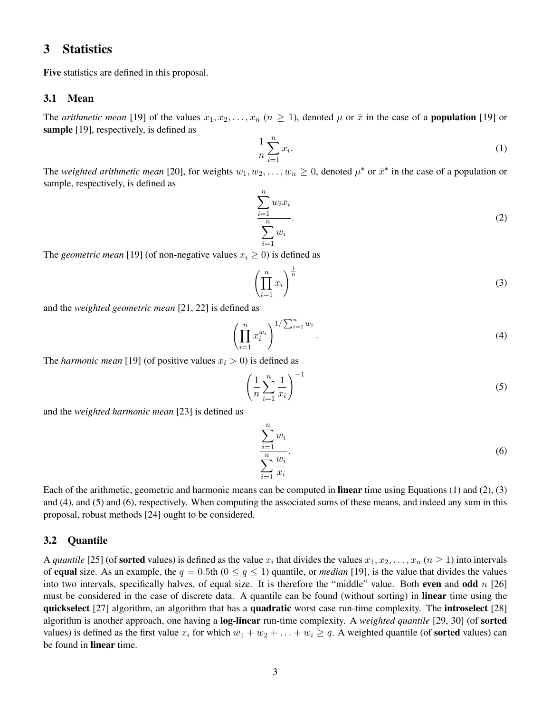## 3 Statistics

Five statistics are defined in this proposal.

## 3.1 Mean

The *arithmetic mean* [19] of the values  $x_1, x_2, \ldots, x_n$   $(n \ge 1)$ , denoted  $\mu$  or  $\bar{x}$  in the case of a **population** [19] or sample [19], respectively, is defined as

$$
\frac{1}{n}\sum_{i=1}^{n}x_{i}.
$$
 (1)

The *weighted arithmetic mean* [20], for weights  $w_1, w_2, \ldots, w_n \ge 0$ , denoted  $\mu^*$  or  $\bar{x}^*$  in the case of a population or sample, respectively, is defined as

 $\sum_{n=1}^{\infty}$  $i=1$  $w_i x_i$  $\frac{n}{\sqrt{n}}$  $i=1$  $w_i$ .  $(2)$ 

The *geometric mean* [19] (of non-negative values  $x_i \geq 0$ ) is defined as

$$
\left(\prod_{i=1}^{n} x_i\right)^{\frac{1}{n}}\tag{3}
$$

and the *weighted geometric mean* [21, 22] is defined as

$$
\left(\prod_{i=1}^{n} x_i^{w_i}\right)^{1/\sum_{i=1}^{n} w_i}.
$$
\n
$$
(4)
$$

The *harmonic mean* [19] (of positive values  $x_i > 0$ ) is defined as

$$
\left(\frac{1}{n}\sum_{i=1}^{n}\frac{1}{x_i}\right)^{-1} \tag{5}
$$

and the *weighted harmonic mean* [23] is defined as

$$
\sum_{i=1}^{n} w_i
$$
  

$$
\sum_{i=1}^{n} \frac{w_i}{x_i}.
$$
 (6)

Each of the arithmetic, geometric and harmonic means can be computed in linear time using Equations (1) and (2), (3) and (4), and (5) and (6), respectively. When computing the associated sums of these means, and indeed any sum in this proposal, robust methods [24] ought to be considered.

#### 3.2 Quantile

A *quantile* [25] (of **sorted** values) is defined as the value  $x_i$  that divides the values  $x_1, x_2, \ldots, x_n$  ( $n \ge 1$ ) into intervals of **equal** size. As an example, the  $q = 0.5$ th  $(0 \le q \le 1)$  quantile, or *median* [19], is the value that divides the values into two intervals, specifically halves, of equal size. It is therefore the "middle" value. Both even and odd  $n$  [26] must be considered in the case of discrete data. A quantile can be found (without sorting) in **linear** time using the quickselect [27] algorithm, an algorithm that has a quadratic worst case run-time complexity. The introselect [28] algorithm is another approach, one having a log-linear run-time complexity. A *weighted quantile* [29, 30] (of sorted values) is defined as the first value  $x_i$  for which  $w_1 + w_2 + \ldots + w_i \geq q$ . A weighted quantile (of **sorted** values) can be found in linear time.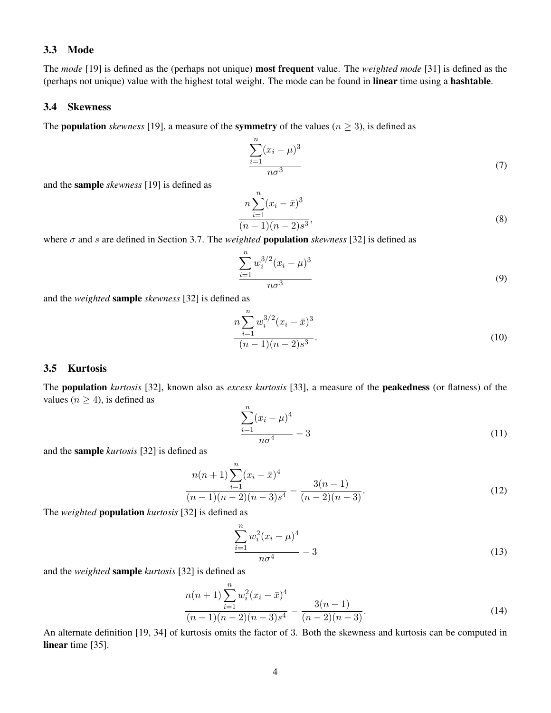## 3.3 Mode

The *mode* [19] is defined as the (perhaps not unique) most frequent value. The *weighted mode* [31] is defined as the (perhaps not unique) value with the highest total weight. The mode can be found in linear time using a hashtable.

### 3.4 Skewness

The **population** *skewness* [19], a measure of the **symmetry** of the values ( $n \geq 3$ ), is defined as

$$
\frac{\sum_{i=1}^{n}(x_i - \mu)^3}{n\sigma^3} \tag{7}
$$

and the sample *skewness* [19] is defined as

$$
n\sum_{i=1}^{n}(x_i - \bar{x})^3
$$
  
(n-1)(n-2)s<sup>3</sup>, (8)

where  $\sigma$  and s are defined in Section 3.7. The *weighted* **population** *skewness* [32] is defined as

$$
\frac{\sum_{i=1}^{n} w_i^{3/2} (x_i - \mu)^3}{n\sigma^3}
$$
\n(9)

and the *weighted* sample *skewness* [32] is defined as

$$
\frac{n\sum_{i=1}^{n}w_i^{3/2}(x_i-\bar{x})^3}{(n-1)(n-2)s^3}.
$$
\n(10)

## 3.5 Kurtosis

The population *kurtosis* [32], known also as *excess kurtosis* [33], a measure of the peakedness (or flatness) of the values ( $n \geq 4$ ), is defined as

$$
\frac{\sum_{i=1}^{n} (x_i - \mu)^4}{n\sigma^4} - 3
$$
\n(11)

and the sample *kurtosis* [32] is defined as

$$
\frac{n(n+1)\sum_{i=1}^{n}(x_i - \bar{x})^4}{(n-1)(n-2)(n-3)s^4} - \frac{3(n-1)}{(n-2)(n-3)}.
$$
\n(12)

The *weighted* population *kurtosis* [32] is defined as

$$
\frac{\sum_{i=1}^{n} w_i^2 (x_i - \mu)^4}{n\sigma^4} - 3 \tag{13}
$$

and the *weighted* sample *kurtosis* [32] is defined as

$$
\frac{n(n+1)\sum_{i=1}^{n}w_i^2(x_i-\bar{x})^4}{(n-1)(n-2)(n-3)s^4} - \frac{3(n-1)}{(n-2)(n-3)}.
$$
\n(14)

An alternate definition [19, 34] of kurtosis omits the factor of 3. Both the skewness and kurtosis can be computed in linear time [35].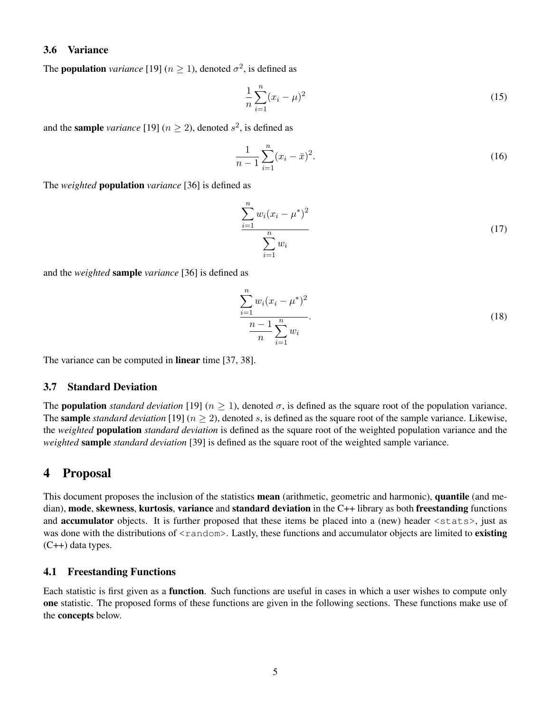## 3.6 Variance

The **population** *variance* [19]  $(n \ge 1)$ , denoted  $\sigma^2$ , is defined as

$$
\frac{1}{n}\sum_{i=1}^{n}(x_i - \mu)^2\tag{15}
$$

and the **sample** *variance* [19]  $(n \ge 2)$ , denoted  $s^2$ , is defined as

$$
\frac{1}{n-1} \sum_{i=1}^{n} (x_i - \bar{x})^2.
$$
 (16)

The *weighted* population *variance* [36] is defined as

$$
\frac{\sum_{i=1}^{n} w_i (x_i - \mu^*)^2}{\sum_{i=1}^{n} w_i}
$$
\n(17)

and the *weighted* sample *variance* [36] is defined as

$$
\frac{\sum_{i=1}^{n} w_i (x_i - \mu^*)^2}{\frac{n-1}{n} \sum_{i=1}^{n} w_i}.
$$
\n(18)

The variance can be computed in **linear** time [37, 38].

## 3.7 Standard Deviation

The **population** *standard deviation* [19]  $(n \ge 1)$ , denoted  $\sigma$ , is defined as the square root of the population variance. The **sample** *standard deviation* [19]  $(n \geq 2)$ , denoted s, is defined as the square root of the sample variance. Likewise, the *weighted* population *standard deviation* is defined as the square root of the weighted population variance and the *weighted* sample *standard deviation* [39] is defined as the square root of the weighted sample variance.

## 4 Proposal

This document proposes the inclusion of the statistics **mean** (arithmetic, geometric and harmonic), **quantile** (and median), mode, skewness, kurtosis, variance and standard deviation in the C++ library as both freestanding functions and **accumulator** objects. It is further proposed that these items be placed into a (new) header <stats>, just as was done with the distributions of <random>. Lastly, these functions and accumulator objects are limited to existing (C++) data types.

### 4.1 Freestanding Functions

Each statistic is first given as a function. Such functions are useful in cases in which a user wishes to compute only one statistic. The proposed forms of these functions are given in the following sections. These functions make use of the concepts below.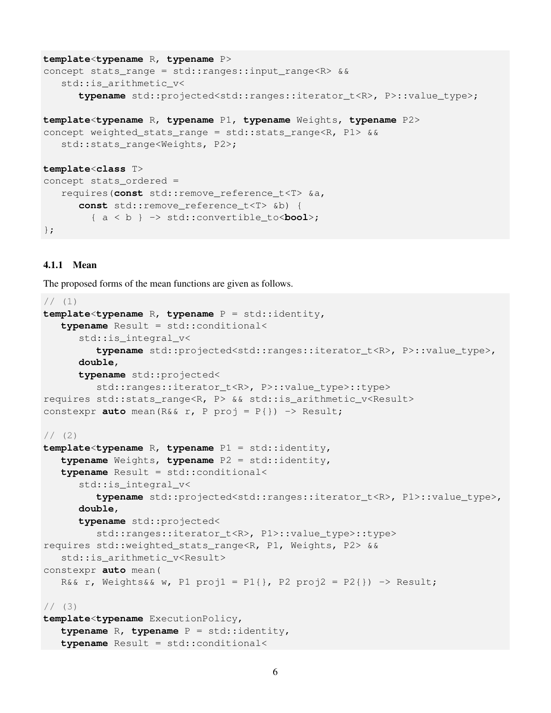```
template<typename R, typename P>
concept stats_range = std::ranges::input_range<R> &&
   std::is_arithmetic_v<
      typename std::projected<std::ranges::iterator t<R>, P>::value type>;
template<typename R, typename P1, typename Weights, typename P2>
concept weighted_stats_range = std::stats_range<R, P1> &&
   std::stats_range<Weights, P2>;
template<class T>
concept stats_ordered =
   requires(const std::remove_reference_t<T> &a,
      const std::remove_reference_t<T> &b) {
        { a < b } -> std::convertible_to<bool>;
};
```
### 4.1.1 Mean

The proposed forms of the mean functions are given as follows.

```
// (1)template<typename R, typename P = std::identity,
   typename Result = std::conditional<
      std::is_integral_v<
         typename std::projected<std::ranges::iterator_t<R>, P>::value_type>,
      double,
      typename std::projected<
         std::ranges::iterator_t<R>, P>::value_type>::type>
requires std::stats_range<R, P> && std::is_arithmetic_v<Result>
constexpr auto mean(R&& r, P proj = P{}) -> Result;
1/ (2)template<typename R, typename P1 = std::identity,
   typename Weights, typename P2 = std::identity,
   typename Result = std::conditional<
      std::is_integral_v<
         typename std::projected<std::ranges::iterator_t<R>, P1>::value_type>,
      double,
      typename std::projected<
         std::ranges::iterator_t<R>, P1>::value_type>::type>
requires std::weighted_stats_range<R, P1, Weights, P2> &&
   std::is_arithmetic_v<Result>
constexpr auto mean(
   R&& r, Weights&& w, P1 proj1 = P1{}, P2 proj2 = P2{}) -> Result;
// (3)template<typename ExecutionPolicy,
   typename R, typename P = std::identity,
   typename Result = std::conditional<
```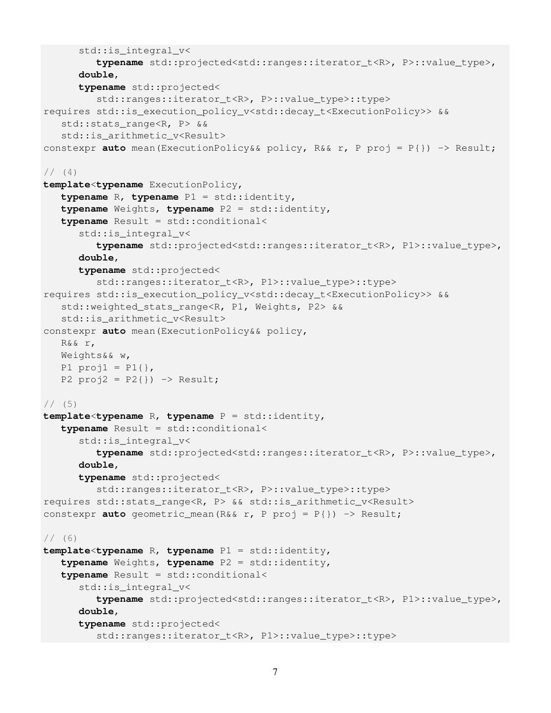```
std:: is integral v<
         typename std::projected<std::ranges::iterator_t<R>, P>::value_type>,
      double,
      typename std::projected<
         std::ranges::iterator_t<R>, P>::value_type>::type>
requires std:: is execution policy v<std::decay_t<ExecutionPolicy>> &&
   std::stats_range<R, P> &&
   std:: is arithmetic v<Result>
constexpr auto mean(ExecutionPolicy&& policy, R&& r, P proj = P{}) -> Result;
// (4)template<typename ExecutionPolicy,
   typename R, typename P1 = std::identity,
   typename Weights, typename P2 = std::identity,
   typename Result = std::conditional<
      std::is_integral_v<
         typename std::projected<std::ranges::iterator_t<R>, P1>::value_type>,
      double,
      typename std::projected<
         std::ranges::iterator_t<R>, P1>::value_type>::type>
requires std::is_execution_policy_v<std::decay_t<ExecutionPolicy>> &&
   std::weighted_stats_range<R, P1, Weights, P2> &&
   std:: is arithmetic v<Result>
constexpr auto mean(ExecutionPolicy&& policy,
   R&& r,
   Weights&& w,
   P1 proj1 = P1 },
   P2 proj2 = P2}) -> Result;
1/ (5)template<typename R, typename P = std::identity,
   typename Result = std::conditional<
      std::is_integral_v<
         typename std::projected<std::ranges::iterator_t<R>, P>::value_type>,
      double,
      typename std::projected<
         std::ranges::iterator_t<R>, P>::value_type>::type>
requires std::stats_range<R, P> && std::is_arithmetic_v<Result>
constexpr auto geometric_mean(R&& r, P proj = P{}) -> Result;
1/ (6)template<typename R, typename P1 = std::identity,
   typename Weights, typename P2 = std::identity,
   typename Result = std::conditional<
      std::is_integral_v<
         typename std::projected<std::ranges::iterator_t<R>, P1>::value_type>,
      double,
      typename std::projected<
         std::ranges::iterator_t<R>, P1>::value_type>::type>
```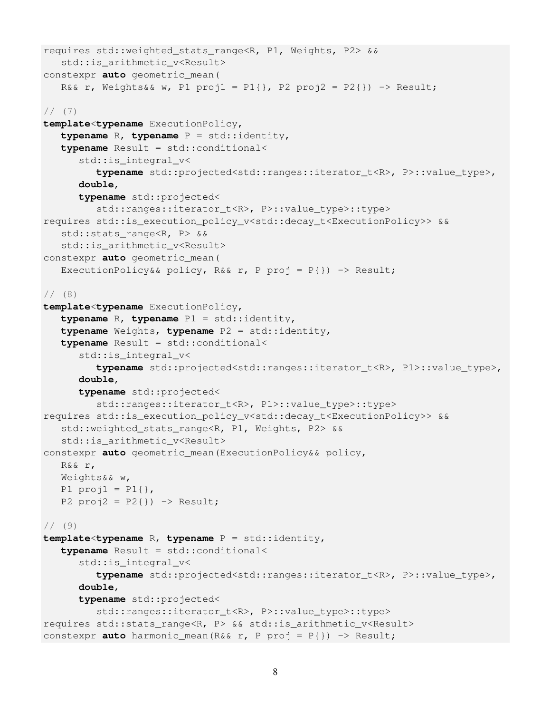```
requires std::weighted_stats_range<R, P1, Weights, P2> &&
   std::is_arithmetic_v<Result>
constexpr auto geometric_mean(
   R&& r, Weights&& w, P1 proj1 = P1{}, P2 proj2 = P2{}) -> Result;
// (7)
template<typename ExecutionPolicy,
   typename R, typename P = std::identity,
   typename Result = std::conditional<
      std::is_integral_v<
         typename std::projected<std::ranges::iterator_t<R>, P>::value_type>,
      double,
      typename std::projected<
         std::ranges::iterator t<R>, P>::value type>::type>
requires std::is_execution_policy_v<std::decay_t<ExecutionPolicy>> &&
   std::stats_range<R, P> &&
   std::is_arithmetic_v<Result>
constexpr auto geometric_mean(
   ExecutionPolicy&& policy, R&& r, P proj = P\{\}) \rightarrow Result;
1/ (8)template<typename ExecutionPolicy,
   typename R, typename P1 = std::identity,
   typename Weights, typename P2 = std::identity,
   typename Result = std::conditional<
      std::is_integral_v<
         typename std::projected<std::ranges::iterator_t<R>, P1>::value_type>,
      double,
      typename std::projected<
         std::ranges::iterator_t<R>, P1>::value_type>::type>
requires std::is_execution_policy_v<std::decay_t<ExecutionPolicy>> &&
   std::weighted_stats_range<R, P1, Weights, P2> &&
   std::is_arithmetic_v<Result>
constexpr auto geometric_mean(ExecutionPolicy&& policy,
   R&& r,
  Weights&& w,
  P1 proj1 = P1{},
   P2 proj2 = P2{}) -> Result;
1/ (9)template<typename R, typename P = std::identity,
   typename Result = std::conditional<
      std::is_integral_v<
         typename std::projected<std::ranges::iterator_t<R>, P>::value_type>,
      double,
      typename std::projected<
         std::ranges::iterator_t<R>, P>::value_type>::type>
requires std::stats_range<R, P> && std::is_arithmetic_v<Result>
constexpr auto harmonic_mean(R&& r, P proj = P{}) -> Result;
```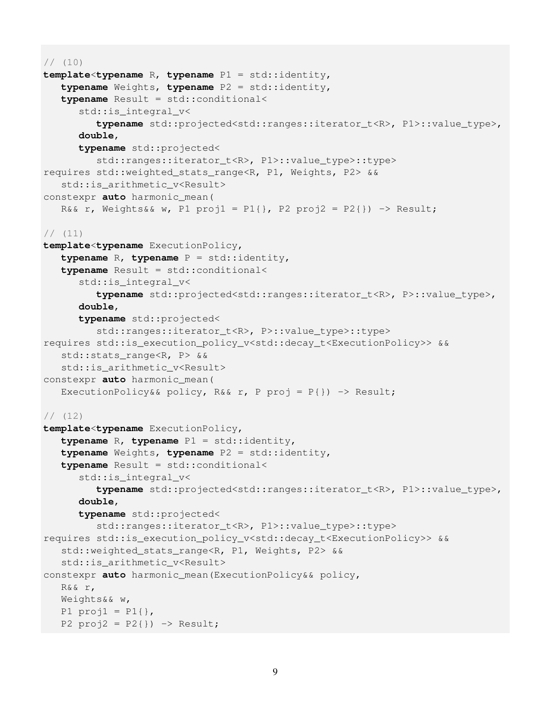```
// (10)
template<typename R, typename P1 = std::identity,
   typename Weights, typename P2 = std::identity,
   typename Result = std::conditional<
      std::is integral v<
         typename std::projected<std::ranges::iterator_t<R>, P1>::value_type>,
      double,
      typename std::projected<
         std::ranges::iterator_t<R>, P1>::value_type>::type>
requires std::weighted_stats_range<R, P1, Weights, P2> &&
   std::is_arithmetic_v<Result>
constexpr auto harmonic_mean(
   R&& r, Weights&& w, P1 proj1 = P1{}, P2 proj2 = P2{}) -> Result;
// (11)
template<typename ExecutionPolicy,
   typename R, typename P = std::identity,
   typename Result = std::conditional<
      std::is_integral_v<
         typename std::projected<std::ranges::iterator_t<R>, P>::value_type>,
      double,
      typename std::projected<
         std::ranges::iterator_t<R>, P>::value_type>::type>
requires std::is_execution_policy_v<std::decay_t<ExecutionPolicy>> &&
   std::stats_range<R, P> &&
   std::is_arithmetic_v<Result>
constexpr auto harmonic_mean(
   ExecutionPolicy&& policy, R&& r, P proj = P\{\}) \rightarrow Result;
1/ (12)
template<typename ExecutionPolicy,
   typename R, typename P1 = std::identity,
   typename Weights, typename P2 = std::identity,
   typename Result = std::conditional<
      std:: is integral v<
         typename std::projected<std::ranges::iterator_t<R>, P1>::value_type>,
      double,
      typename std::projected<
         std::ranges::iterator_t<R>, P1>::value_type>::type>
requires std::is_execution_policy_v<std::decay_t<ExecutionPolicy>> &&
   std::weighted_stats_range<R, P1, Weights, P2> &&
   std::is_arithmetic_v<Result>
constexpr auto harmonic_mean(ExecutionPolicy&& policy,
   R&& r,
   Weights&& w,
   P1 proj1 = P1{},
   P2 proj2 = P2}) -> Result;
```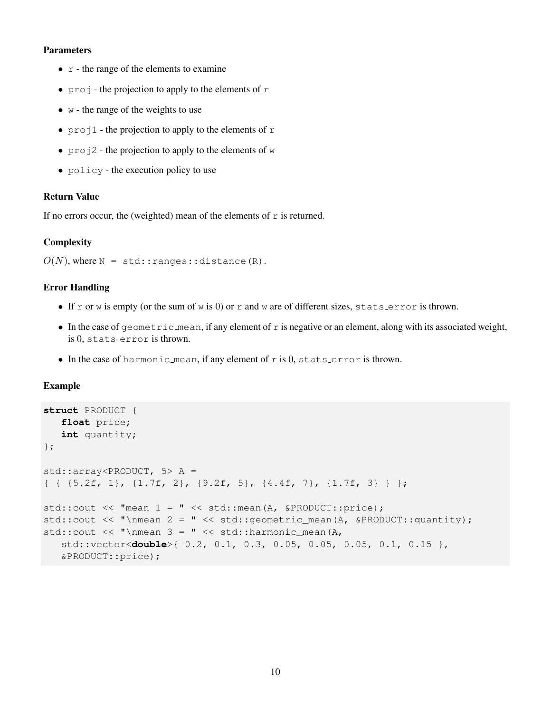- $\bullet$   $\circ$  the range of the elements to examine
- $\pi$  projection to apply to the elements of r
- $\bullet$  w the range of the weights to use
- $\text{proj}_1$  the projection to apply to the elements of r
- $\text{proj2}$  the projection to apply to the elements of w
- policy the execution policy to use

## Return Value

If no errors occur, the (weighted) mean of the elements of  $r$  is returned.

## **Complexity**

```
O(N), where N = std:range: distance(R).
```
## Error Handling

- If r or w is empty (or the sum of w is 0) or r and w are of different sizes, stats error is thrown.
- In the case of geometric mean, if any element of r is negative or an element, along with its associated weight, is 0, stats error is thrown.
- $\bullet$  In the case of harmonic mean, if any element of r is 0, stats error is thrown.

## Example

```
struct PRODUCT {
   float price;
   int quantity;
};
std::array<PRODUCT, 5> A =
{ { {5.2f, 1}, {1.7f, 2}, {9.2f, 5}, {4.4f, 7}, {1.7f, 3} } };
std::cout << "mean 1 = " << std::mean(A, &PRODUCT::price);
std::cout << "\nmean 2 = " << std::geometric_mean(A, &PRODUCT::quantity);
std::cout << "\nmean 3 = " << std::harmonic_mean(A,std::vector<double>{ 0.2, 0.1, 0.3, 0.05, 0.05, 0.05, 0.1, 0.15 },
   &PRODUCT::price);
```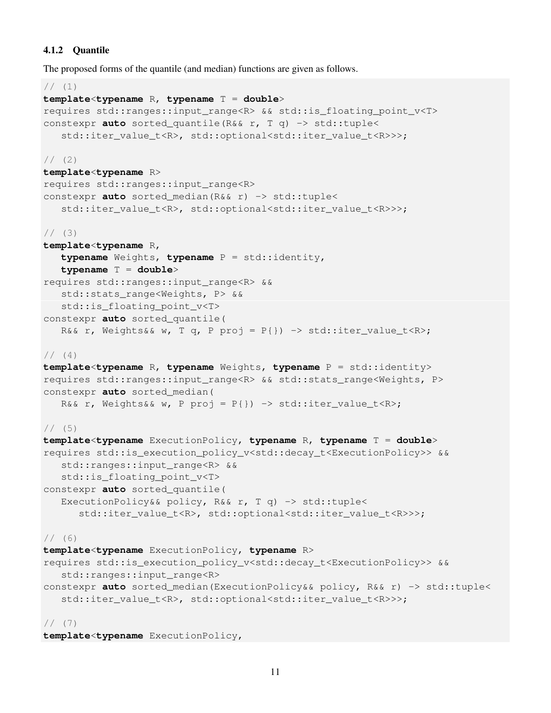## 4.1.2 Quantile

The proposed forms of the quantile (and median) functions are given as follows.

```
// (1)template<typename R, typename T = double>
requires std::ranges::input range<R> && std::is floating point v<T>
constexpr auto sorted_quantile(R&& r, T q) -> std::tuple<
   std::iter_value_t<R>, std::optional<std::iter_value_t<R>>>;
1/ (2)template<typename R>
requires std::ranges::input_range<R>
constexpr auto sorted_median(R&& r) -> std::tuple<
   std::iter_value_t<R>, std::optional<std::iter_value_t<R>>>;
1/ (3)template<typename R,
   typename Weights, typename P = std::identity,
   typename T = double>
requires std::ranges::input_range<R> &&
   std::stats_range<Weights, P> &&
   std::is_floating_point_v<T>
constexpr auto sorted_quantile(
   R&& r, Weights&& w, T q, P proj = P{}) -> std::iter_value_t<R>;
// (4)template<typename R, typename Weights, typename P = std::identity>
requires std::ranges::input_range<R> && std::stats_range<Weights, P>
constexpr auto sorted_median(
   R&& r, Weights&& w, P proj = P\{\}) -> std::iter_value_t<R>;
1/ (5)template<typename ExecutionPolicy, typename R, typename T = double>
requires std::is_execution_policy_v<std::decay_t<ExecutionPolicy>> &&
   std::ranges::input_range<R> &&
   std:: is floating point v<T>
constexpr auto sorted_quantile(
   ExecutionPolicy&& policy, R&& r, T q) -> std::tuple<
      std::iter_value_t<R>, std::optional<std::iter_value_t<R>>>;
1/ (6)template<typename ExecutionPolicy, typename R>
requires std::is_execution_policy_v<std::decay_t<ExecutionPolicy>> &&
   std::ranges::input_range<R>
constexpr auto sorted_median(ExecutionPolicy&& policy, R&& r) -> std::tuple<
   std::iter_value_t<R>, std::optional<std::iter_value_t<R>>>;
// (7)
```
**template**<**typename** ExecutionPolicy,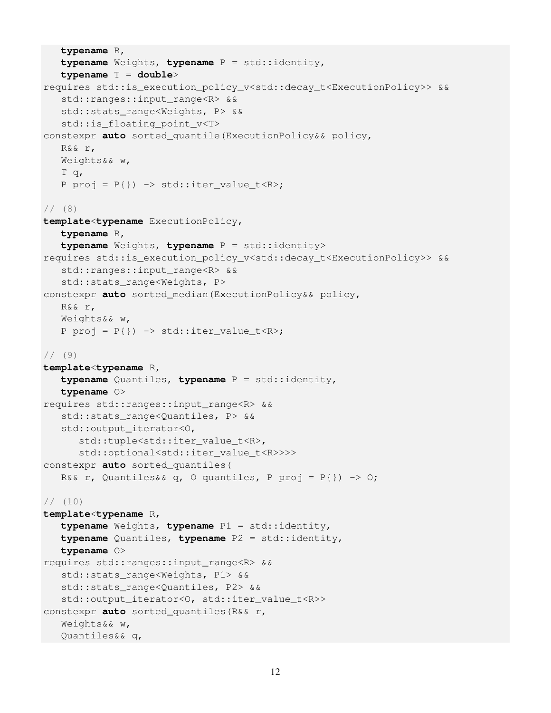```
typename R,
   typename Weights, typename P = std::identity,
   typename T = double>
requires std::is_execution_policy_v<std::decay_t<ExecutionPolicy>> &&
   std::ranges::input_range<R> &&
   std::stats_range<Weights, P> &&
   std::is_floating_point_v<T>
constexpr auto sorted_quantile(ExecutionPolicy&& policy,
   R&& r,
   Weights&& w,
   T q,
   P proj = P\{\}) -> std::iter_value_t < R>;
1/ (8)template<typename ExecutionPolicy,
   typename R,
   typename Weights, typename P = std::identity>
requires std::is_execution_policy_v<std::decay_t<ExecutionPolicy>> &&
   std::ranges::input_range<R> &&
   std::stats_range<Weights, P>
constexpr auto sorted_median(ExecutionPolicy&& policy,
   R&& r,
   Weights&& w,
   P proj = P\{\}) -> std::iter_value_t < R>;
1/ (9)template<typename R,
   typename Quantiles, typename P = std::identity,
   typename O>
requires std::ranges::input_range<R> &&
   std::stats_range<Quantiles, P> &&
   std::output_iterator<O,
      std::tuple<std::iter_value_t<R>,
      std::optional<std::iter_value_t<R>>>>
constexpr auto sorted_quantiles(
   R&& r, Quantiles&& q, O quantiles, P proj = P\{\}) \rightarrow 0;// (10)
template<typename R,
   typename Weights, typename P1 = std::identity,
   typename Quantiles, typename P2 = std::identity,
   typename O>
requires std::ranges::input_range<R> &&
   std::stats_range<Weights, P1> &&
   std::stats_range<Quantiles, P2> &&
   std::output_iterator<O, std::iter_value_t<R>>
constexpr auto sorted_quantiles(R&& r,
   Weights&& w,
   Quantiles&& q,
```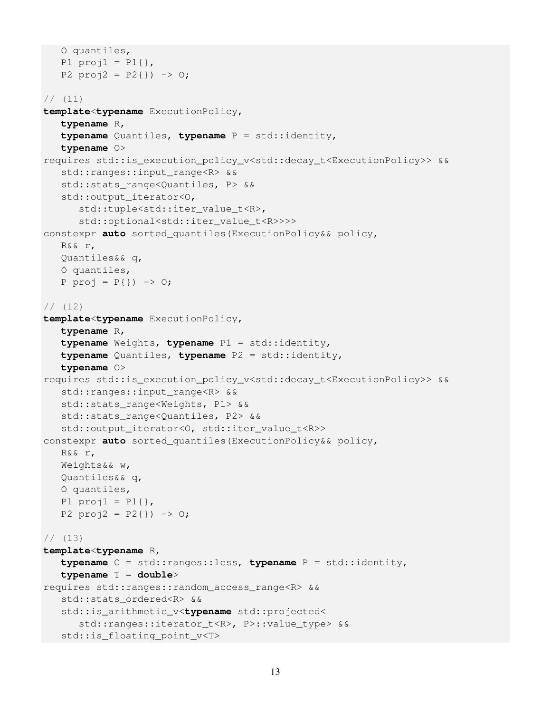```
O quantiles,
   P1 proj1 = P1{},
   P2 proj2 = P2{}}) -> 0;
// (11)
template<typename ExecutionPolicy,
   typename R,
   typename Quantiles, typename P = std::identity,
   typename O>
requires std::is_execution_policy_v<std::decay_t<ExecutionPolicy>> &&
   std::ranges::input_range<R> &&
   std::stats_range<Quantiles, P> &&
   std::output_iterator<O,
      std::tuple<std::iter_value_t<R>,
      std::optional<std::iter_value_t<R>>>>
constexpr auto sorted_quantiles(ExecutionPolicy&& policy,
   R&& r,
   Quantiles&& q,
   O quantiles,
   P proj = P{}) -> 0;
// (12)
template<typename ExecutionPolicy,
   typename R,
   typename Weights, typename P1 = std::identity,
   typename Quantiles, typename P2 = std::identity,
   typename O>
requires std::is_execution_policy_v<std::decay_t<ExecutionPolicy>> &&
   std::ranges::input_range<R> &&
   std::stats_range<Weights, P1> &&
   std::stats_range<Quantiles, P2> &&
   std::output_iterator<O, std::iter_value_t<R>>
constexpr auto sorted_quantiles(ExecutionPolicy&& policy,
   R&& r,
   Weights&& w,
   Quantiles&& q,
   O quantiles,
   P1 proj1 = P1{},
   P2 proj2 = P2{}}) -> 0;
// (13)
template<typename R,
   typename C = std::ranges::less, typename P = std::identity,
   typename T = double>
requires std::ranges::random_access_range<R> &&
   std::stats_ordered<R> &&
   std::is_arithmetic_v<typename std::projected<
      std::ranges::iterator_t<R>, P>::value_type> &&
   std::is_floating_point_v<T>
```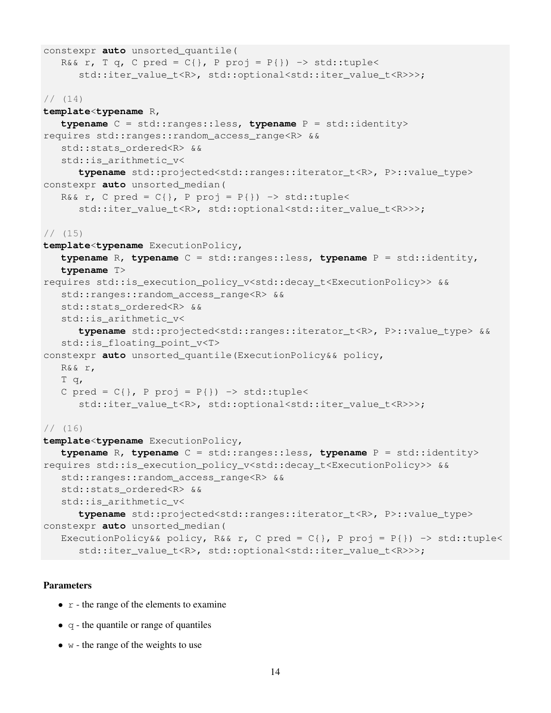```
constexpr auto unsorted_quantile(
   R&& r, T q, C pred = C\{\}, P proj = P\{\}) -> std::tuple<
      std::iter_value_t<R>, std::optional<std::iter_value_t<R>>>;
// (14)
template<typename R,
   typename C = std::ranges::less, typename P = std::identity>
requires std::ranges::random_access_range<R> &&
   std::stats_ordered<R> &&
   std::is_arithmetic_v<
      typename std::projected<std::ranges::iterator_t<R>, P>::value_type>
constexpr auto unsorted_median(
   R&& r, C pred = C{}, P proj = P{}) -> std::tuple<
      std::iter_value_t<R>, std::optional<std::iter_value_t<R>>>;
// (15)
template<typename ExecutionPolicy,
   typename R, typename C = std::ranges::less, typename P = std::identity,
   typename T>
requires std::is_execution_policy_v<std::decay_t<ExecutionPolicy>> &&
   std::ranges::random_access_range<R> &&
   std::stats_ordered<R> &&
   std:: is arithmetic v<
      typename std::projected<std::ranges::iterator_t<R>, P>::value_type> &&
   std::is_floating_point_v<T>
constexpr auto unsorted_quantile(ExecutionPolicy&& policy,
   R&& r,
   T q,
   C pred = C{}, P proj = P{}) -> std::tuple<
      std::iter_value_t<R>, std::optional<std::iter_value_t<R>>>;
// (16)
template<typename ExecutionPolicy,
   typename R, typename C = std::ranges::less, typename P = std::identity>
requires std::is_execution_policy_v<std::decay_t<ExecutionPolicy>> &&
   std::ranges::random_access_range<R> &&
   std::stats_ordered<R> &&
   std:: is arithmetic v<
      typename std::projected<std::ranges::iterator_t<R>, P>::value_type>
constexpr auto unsorted_median(
   ExecutionPolicy&& policy, R&& r, C pred = C\, P proj = P\) -> std::tuple<
      std::iter_value_t<R>, std::optional<std::iter_value_t<R>>>;
```
- $r$  the range of the elements to examine
- $\bullet$  q the quantile or range of quantiles
- $\bullet$  w the range of the weights to use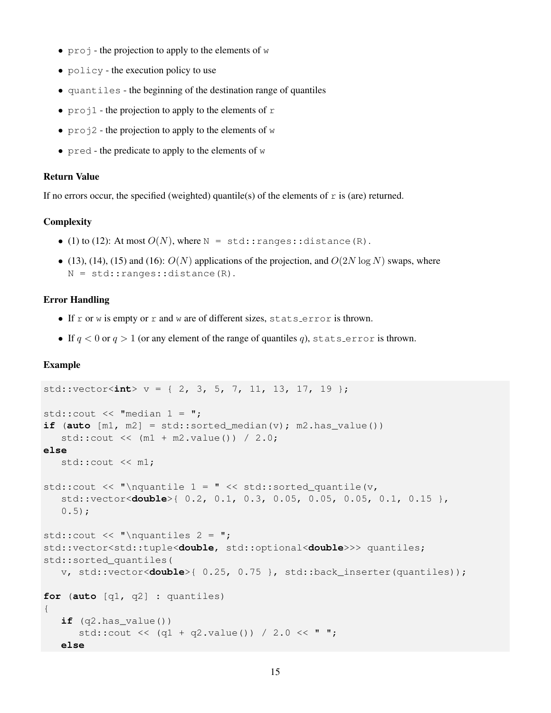- $\pi$  projection to apply to the elements of w
- policy the execution policy to use
- quantiles the beginning of the destination range of quantiles
- $\text{proj}_1$  the projection to apply to the elements of r
- $\text{proj2}$  the projection to apply to the elements of w
- $\alpha$  pred the predicate to apply to the elements of w

## Return Value

If no errors occur, the specified (weighted) quantile(s) of the elements of  $r$  is (are) returned.

## **Complexity**

- (1) to (12): At most  $O(N)$ , where  $N = std:ranges::distance(R)$ .
- (13), (14), (15) and (16):  $O(N)$  applications of the projection, and  $O(2N \log N)$  swaps, where N = std::ranges::distance(R).

#### Error Handling

- If r or w is empty or r and w are of different sizes, stats error is thrown.
- If  $q < 0$  or  $q > 1$  (or any element of the range of quantiles q), stats error is thrown.

#### Example

```
std::vector<int> v = \{ 2, 3, 5, 7, 11, 13, 17, 19 \};
std:: cout \lt\lt "median 1 =";
if (auto [m1, m2] = std:sorted\_median(v); m2.has\_value())
   std::cout << (m1 + m2.value()) / 2.0;else
   std::cout << m1;
std::cout << "\nquantile 1 = " << std::sorted quantile(v,
   std::vector<double>{ 0.2, 0.1, 0.3, 0.05, 0.05, 0.05, 0.1, 0.15 },
   0.5);
std:: cout << "\nquantiles 2 = ";
std::vector<std::tuple<double, std::optional<double>>> quantiles;
std::sorted_quantiles(
   v, std::vector<double>{ 0.25, 0.75 }, std::back_inserter(quantiles));
for (auto [q1, q2] : quantiles)
{
   if (q2.has_value())
      std::cout << (q1 + q2.value()) / 2.0 << "else
```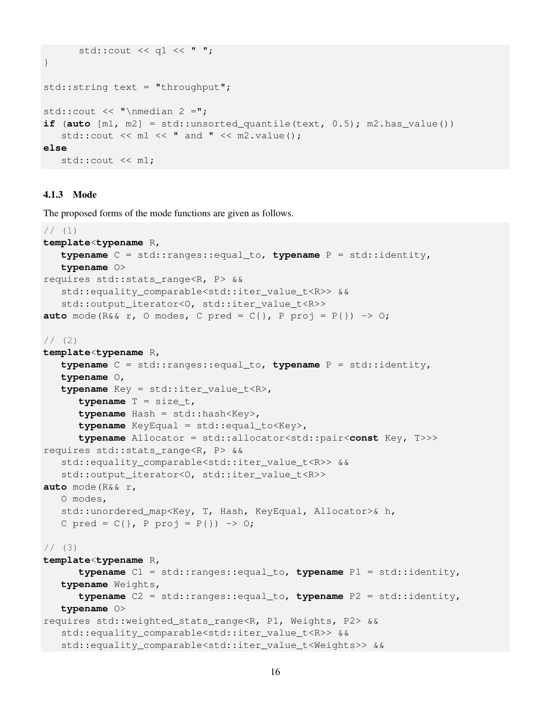```
std::cout << q1 << " ";
}
std::string text = "throughput";
std:: cout \lt\lt "\nmedian 2 =";
if (auto [m1, m2] = std:unsorted_quantile(text, 0.5); m2.has_value()std::cout \lt\lt m1 \lt\lt' " and " \lt\lt m2. value();
else
   std::cout << m1;
```
#### 4.1.3 Mode

The proposed forms of the mode functions are given as follows.

```
1/11template<typename R,
   typename C = std::ranges::equal_to, typename P = std::identity,
   typename O>
requires std::stats_range<R, P> &&
   std::equality_comparable<std::iter_value_t<R>> &&
   std::output_iterator<0, std::iter_value_t<R>>
auto mode(R&& r, O modes, C pred = C\{\}, P proj = P\{\}) -> 0;
1/ (2)template<typename R,
   typename C = std::ranges::equal_to, typename P = std::identity,
   typename O,
   typename Key = std::iter_value_t<R>,
      typename T = size_t,
      typename Hash = std::hash<Key>,
      typename KeyEqual = std::equal_to<Key>,
      typename Allocator = std::allocator<std::pair<const Key, T>>>
requires std::stats_range<R, P> &&
   std::equality_comparable<std::iter_value_t<R>> &&
   std::output_iterator<O, std::iter_value_t<R>>
auto mode(R&& r,
   O modes,
   std::unordered_map<Key, T, Hash, KeyEqual, Allocator>& h,
   C pred = C{}, P proj = P{}) -> 0;
1/ (3)template<typename R,
      typename C1 = std::ranges::equal_to, typename P1 = std::identity,
   typename Weights,
      typename C2 = std::ranges::equal_to, typename P2 = std::identity,
   typename O>
requires std::weighted_stats_range<R, P1, Weights, P2> &&
   std::equality_comparable<std::iter_value_t<R>> &&
   std::equality_comparable<std::iter_value_t<Weights>> &&
```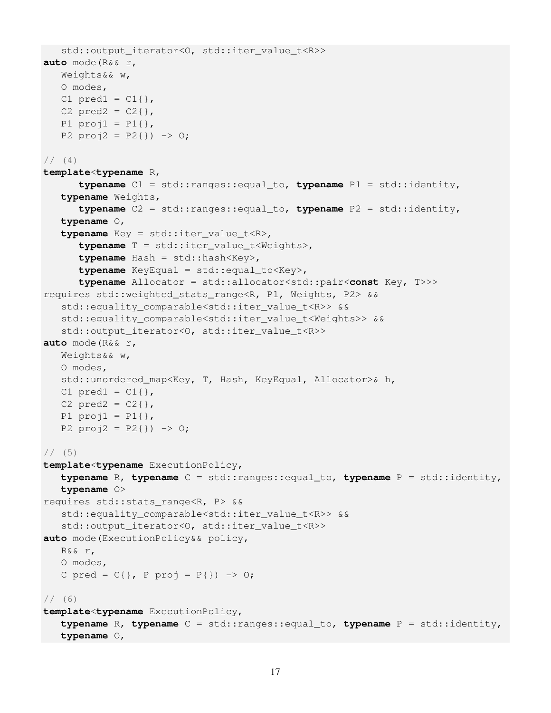```
std::output_iterator<0, std::iter_value_t<R>>
auto mode(R&& r,
   Weights&& w,
   O modes,
   C1 pred1 = Cl { },
   C2 pred2 = C2{},
   P1 proj1 = P1{},
   P2 proj2 = P2{} ) -> 0;
// (4)template<typename R,
      typename C1 = std::ranges::equal_to, typename P1 = std::identity,
   typename Weights,
      typename C2 = std::ranges::equal_to, typename P2 = std::identity,
   typename O,
   typename Key = std::iter_value_t<R>,
      typename T = std::iter_value_t<Weights>,
      typename Hash = std::hash<Key>,
      typename KeyEqual = std::equal_to<Key>,
      typename Allocator = std::allocator<std::pair<const Key, T>>>
requires std::weighted_stats_range<R, P1, Weights, P2> &&
   std::equality_comparable<std::iter_value_t<R>> &&
   std::equality_comparable<std::iter_value_t<Weights>> &&
   std::output_iterator<O, std::iter_value_t<R>>
auto mode(R&& r,
   Weights&& w,
   O modes,
   std::unordered_map<Key, T, Hash, KeyEqual, Allocator>& h,
   C1 pred1 = C1 {},
   C2 pred2 = C2{},
   P1 proj1 = P1{},
   P2 proj2 = P2}) -> 0;
1/ (5)template<typename ExecutionPolicy,
   typename R, typename C = std::ranges::equal_to, typename P = std::identity,
   typename O>
requires std::stats_range<R, P> &&
   std::equality_comparable<std::iter_value_t<R>> &&
   std::output_iterator<O, std::iter_value_t<R>>
auto mode(ExecutionPolicy&& policy,
   R&& r,
   O modes,
   C \text{ pred} = C\{\}, P \text{ proj} = P\{\}) \rightarrow 0;1/ (6)template<typename ExecutionPolicy,
   typename R, typename C = std::ranges::equal_to, typename P = std::identity,
   typename O,
```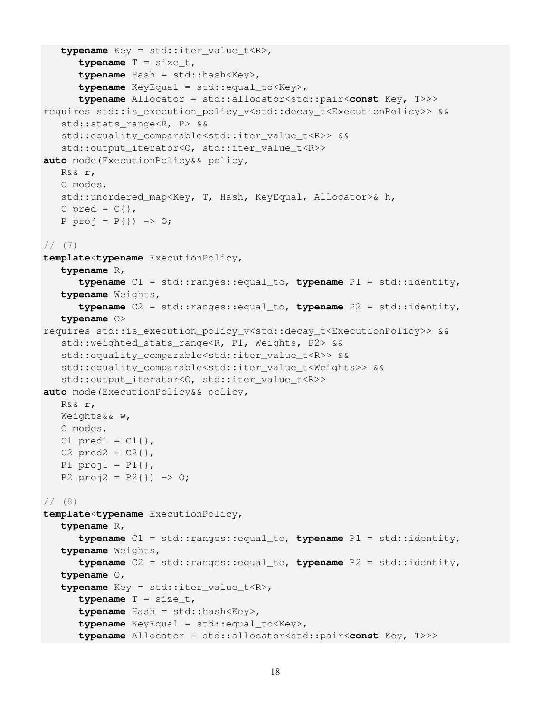```
typename Key = std::iter value t<R>,
      typename T = size_t,
      typename Hash = std::hash<Key>,
      typename KeyEqual = std::equal_to<Key>,
      typename Allocator = std::allocator<std::pair<const Key, T>>>
requires std::is_execution_policy_v<std::decay_t<ExecutionPolicy>> &&
   std::stats_range<R, P> &&
   std::equality_comparable<std::iter_value_t<R>> &&
   std::output_iterator<O, std::iter_value_t<R>>
auto mode(ExecutionPolicy&& policy,
   R&& r,
   O modes,
   std::unordered_map<Key, T, Hash, KeyEqual, Allocator>& h,
   C pred = C\{\},
   P proj = P{}) -> 0;
// (7)template<typename ExecutionPolicy,
   typename R,
      typename C1 = std::ranges::equal_to, typename P1 = std::identity,
   typename Weights,
      typename C2 = std::ranges::equal_to, typename P2 = std::identity,
   typename O>
requires std::is_execution_policy_v<std::decay_t<ExecutionPolicy>> &&
   std::weighted_stats_range<R, P1, Weights, P2> &&
   std::equality_comparable<std::iter_value_t<R>> &&
   std::equality_comparable<std::iter_value_t<Weights>> &&
   std::output_iterator<O, std::iter_value_t<R>>
auto mode(ExecutionPolicy&& policy,
   R&& r,
   Weights&& w,
   O modes,
   C1 pred1 = C1 { },
   C2 pred2 = C2{},
   P1 proj1 = P1{},
   P2 proj2 = P2{}) -> 0;
// (8)
template<typename ExecutionPolicy,
   typename R,
      typename C1 = std::ranges::equal_to, typename P1 = std::identity,
   typename Weights,
      typename C2 = std::ranges::equal_to, typename P2 = std::identity,
   typename O,
   typename Key = std::iter_value_t<R>,
      typename T = size_t,
      typename Hash = std::hash<Key>,
      typename KeyEqual = std::equal_to<Key>,
      typename Allocator = std::allocator<std::pair<const Key, T>>>
```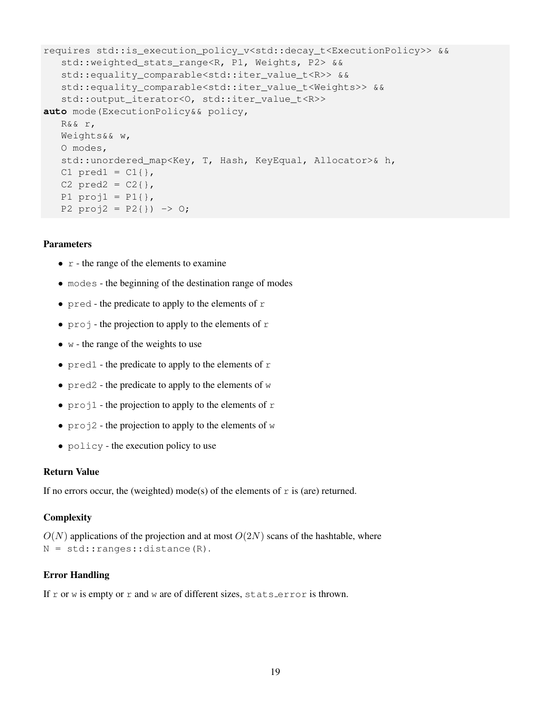```
requires std::is_execution_policy_v<std::decay_t<ExecutionPolicy>> &&
   std::weighted_stats_range<R, P1, Weights, P2> &&
   std::equality_comparable<std::iter_value_t<R>> &&
   std::equality_comparable<std::iter_value_t<Weights>> &&
   std::output_iterator<O, std::iter_value_t<R>>
auto mode(ExecutionPolicy&& policy,
   R&& r,
   Weights&& w,
   O modes,
   std::unordered_map<Key, T, Hash, KeyEqual, Allocator>& h,
   C1 pred1 = C1 { },
   C2 pred2 = C2{},
   P1 proj1 = P1 },
   P2 proj2 = P2{}}) -> 0;
```
- $\bullet$   $\circ$  the range of the elements to examine
- modes the beginning of the destination range of modes
- pred the predicate to apply to the elements of  $r$
- projection to apply to the elements of  $r$
- $\bullet$  w the range of the weights to use
- $pred1$  the predicate to apply to the elements of  $r$
- $pred2$  the predicate to apply to the elements of  $w$
- $\text{proj}_1$  the projection to apply to the elements of  $\text{r}$
- $\text{proj2}$  the projection to apply to the elements of w
- policy the execution policy to use

## Return Value

If no errors occur, the (weighted) mode(s) of the elements of  $r$  is (are) returned.

## **Complexity**

 $O(N)$  applications of the projection and at most  $O(2N)$  scans of the hashtable, where N = std::ranges::distance(R).

## Error Handling

If r or w is empty or  $r$  and w are of different sizes, stats error is thrown.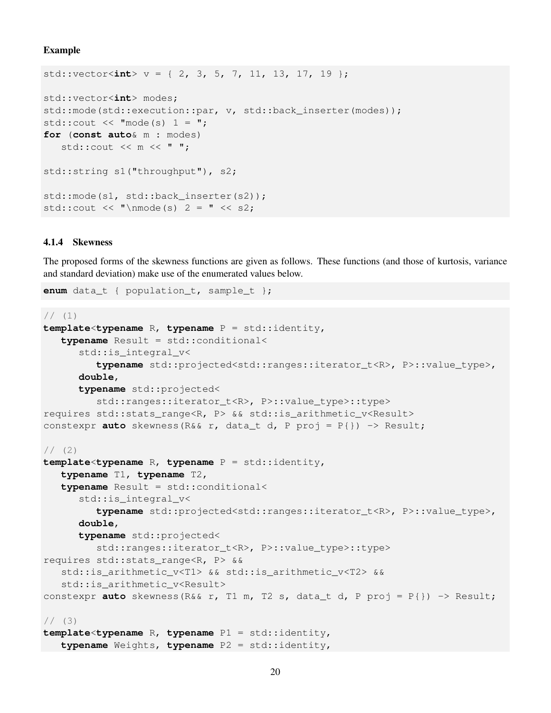#### Example

```
std::vector<int> v = \{ 2, 3, 5, 7, 11, 13, 17, 19 \};
std::vector<int> modes;
std::mode(std::execution::par, v, std::back_inserter(modes));
std::cout \lt\lt "mode(s) 1 = ";
for (const auto& m : modes)
   std:: cout << m << " ";
std::string s1("throughput"), s2;
std::mode(s1, std::back_inserter(s2));
std::cout << "\nmode(s) 2 = " << s2;
```
#### 4.1.4 Skewness

The proposed forms of the skewness functions are given as follows. These functions (and those of kurtosis, variance and standard deviation) make use of the enumerated values below.

**enum** data\_t { population\_t, sample\_t };

```
// (1)template<typename R, typename P = std::identity,
   typename Result = std::conditional<
      std::is_integral_v<
         typename std::projected<std::ranges::iterator_t<R>, P>::value_type>,
      double,
      typename std::projected<
         std::ranges::iterator_t<R>, P>::value_type>::type>
requires std::stats_range<R, P> && std::is_arithmetic_v<Result>
constexpr auto skewness(R&& r, data_t d, P proj = P{}) -> Result;
1/ (2)template<typename R, typename P = std::identity,
   typename T1, typename T2,
   typename Result = std::conditional<
      std:: is integral v<
         typename std::projected<std::ranges::iterator t<R>, P>::value type>,
      double,
      typename std::projected<
         std::ranges::iterator_t<R>, P>::value_type>::type>
requires std::stats_range<R, P> &&
   std::is_arithmetic_v<T1> && std::is_arithmetic_v<T2> &&
   std::is_arithmetic_v<Result>
constexpr auto skewness(R&& r, T1 m, T2 s, data_t d, P proj = P{}) -> Result;
1/ (3)
```

```
template<typename R, typename P1 = std::identity,
   typename Weights, typename P2 = std::identity,
```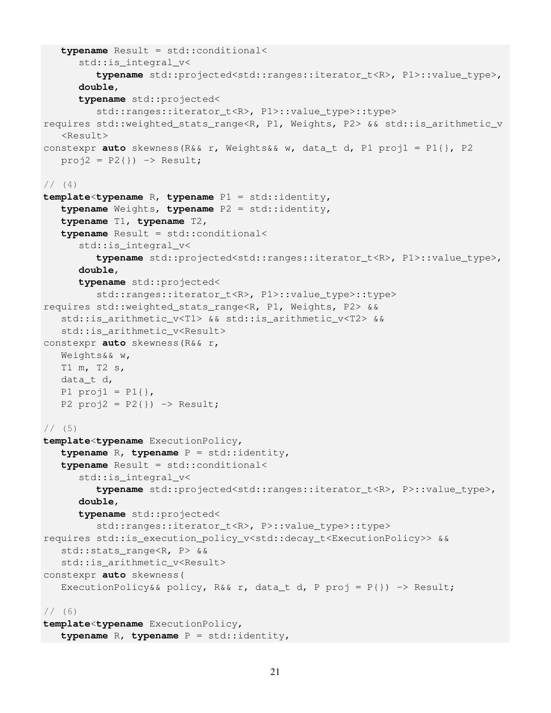```
typename Result = std::conditional<
      std::is_integral_v<
         typename std::projected<std::ranges::iterator_t<R>, P1>::value_type>,
      double,
      typename std::projected<
         std::ranges::iterator t<R>, P1>::value type>::type>
requires std::weighted_stats_range<R, P1, Weights, P2> && std::is_arithmetic_v
   <Result>
constexpr auto skewness(R&& r, Weights&& w, data_t d, P1 proj1 = P1{}, P2
   proj2 = P2{}) -> Result;
1/ (4)template<typename R, typename P1 = std::identity,
   typename Weights, typename P2 = std::identity,
   typename T1, typename T2,
   typename Result = std::conditional<
      std::is_integral_v<
         typename std::projected<std::ranges::iterator_t<R>, P1>::value_type>,
      double,
      typename std::projected<
         std::ranges::iterator t<R>, P1>::value type>::type>
requires std::weighted_stats_range<R, P1, Weights, P2> &&
   std::is arithmetic v<T1> && std::is arithmetic v<T2> &&
   std::is_arithmetic_v<Result>
constexpr auto skewness(R&& r,
   Weights&& w,
   T1 m, T2 s,
   data_t d,
   P1 proj1 = P1 },
   P2 proj2 = P2}) -> Result;
1/ (5)template<typename ExecutionPolicy,
   typename R, typename P = std::identity,
   typename Result = std::conditional<
      std:: is integral v<
         typename std::projected<std::ranges::iterator_t<R>, P>::value_type>,
      double,
      typename std::projected<
         std::ranges::iterator_t<R>, P>::value_type>::type>
requires std::is_execution_policy_v<std::decay_t<ExecutionPolicy>> &&
   std::stats_range<R, P> &&
   std::is_arithmetic_v<Result>
constexpr auto skewness(
   ExecutionPolicy&& policy, R&& r, data_t d, P proj = P{}) -> Result;
1/ (6)template<typename ExecutionPolicy,
   typename R, typename P = std::identity,
```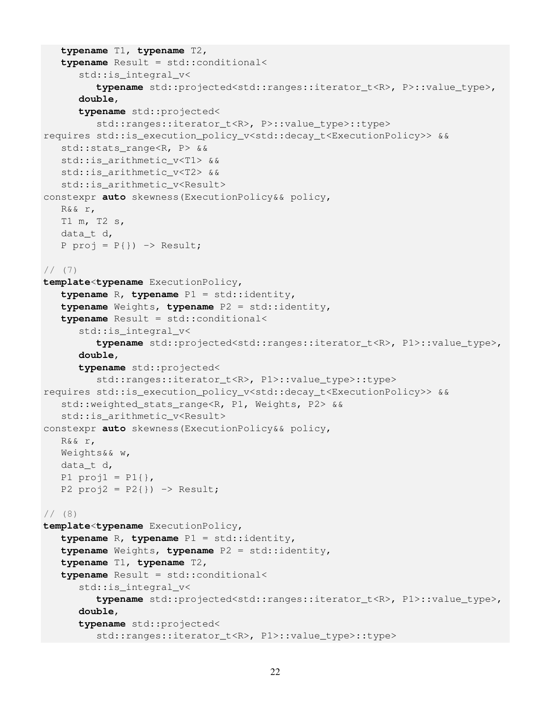```
typename T1, typename T2,
   typename Result = std::conditional<
      std::is_integral_v<
         typename std::projected<std::ranges::iterator_t<R>, P>::value_type>,
      double,
      typename std::projected<
         std::ranges::iterator_t<R>, P>::value_type>::type>
requires std::is_execution_policy_v<std::decay_t<ExecutionPolicy>> &&
   std::stats_range<R, P> &&
   std::is_arithmetic_v<T1> &&
   std::is_arithmetic_v<T2> &&
   std::is_arithmetic_v<Result>
constexpr auto skewness(ExecutionPolicy&& policy,
   R&& r,
   T1 m, T2 s,
   data_t d,
   P proj = P{}) -> Result;
1/ (7)template<typename ExecutionPolicy,
   typename R, typename P1 = std::identity,
   typename Weights, typename P2 = std::identity,
   typename Result = std::conditional<
      std::is_integral_v<
         typename std::projected<std::ranges::iterator_t<R>, P1>::value_type>,
      double,
      typename std::projected<
         std::ranges::iterator_t<R>, P1>::value_type>::type>
requires std:: is execution policy v<std::decay_t<ExecutionPolicy>> &&
   std::weighted_stats_range<R, P1, Weights, P2> &&
   std::is_arithmetic_v<Result>
constexpr auto skewness(ExecutionPolicy&& policy,
   R&& r,
   Weights&& w,
   data_t d,
   P1 proj1 = P1 },
   P2 proj2 = P2}) -> Result;
1/ (8)template<typename ExecutionPolicy,
   typename R, typename P1 = std::identity,
   typename Weights, typename P2 = std::identity,
   typename T1, typename T2,
   typename Result = std::conditional<
      std::is_integral_v<
         typename std::projected<std::ranges::iterator_t<R>, P1>::value_type>,
      double,
      typename std::projected<
         std::ranges::iterator_t<R>, P1>::value_type>::type>
```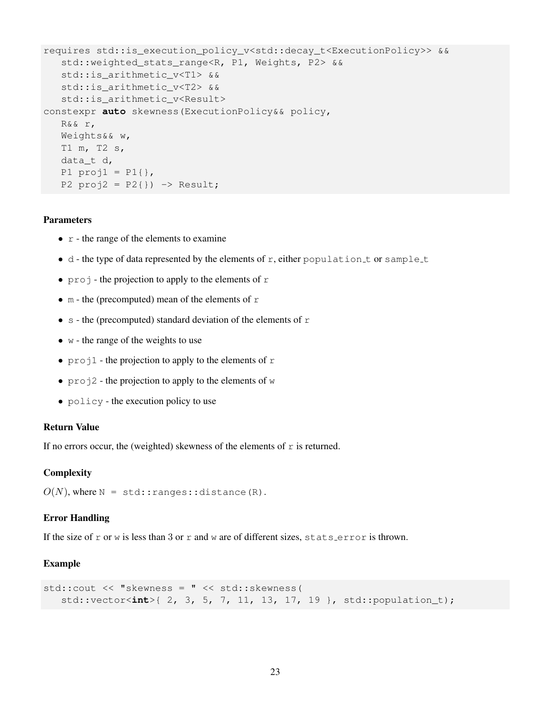```
requires std::is_execution_policy_v<std::decay_t<ExecutionPolicy>> &&
   std::weighted_stats_range<R, P1, Weights, P2> &&
   std::is_arithmetic_v<T1> &&
   std::is arithmetic v<T2> &&
   std::is_arithmetic_v<Result>
constexpr auto skewness(ExecutionPolicy&& policy,
   R&& r,
   Weights&& w,
   T1 m, T2 s,
   data_t d,
   P1 proj1 = P1{},
   P2 proj2 = P2}) -> Result;
```
- $r -$  the range of the elements to examine
- $\bullet$  d the type of data represented by the elements of r, either population t or sample t
- $\pi$  projection to apply to the elements of r
- m the (precomputed) mean of the elements of  $r$
- s the (precomputed) standard deviation of the elements of  $r$
- $\bullet$  w the range of the weights to use
- projection to apply to the elements of  $r$
- $\text{proj}_2$  the projection to apply to the elements of w
- policy the execution policy to use

## Return Value

If no errors occur, the (weighted) skewness of the elements of  $r$  is returned.

## **Complexity**

 $O(N)$ , where  $N = std:range: distance(R)$ .

## Error Handling

If the size of r or w is less than 3 or r and w are of different sizes, stats error is thrown.

## Example

```
std::cout << "skewness = " << std::skewness(
   std::vector<int>{ 2, 3, 5, 7, 11, 13, 17, 19 }, std::population_t);
```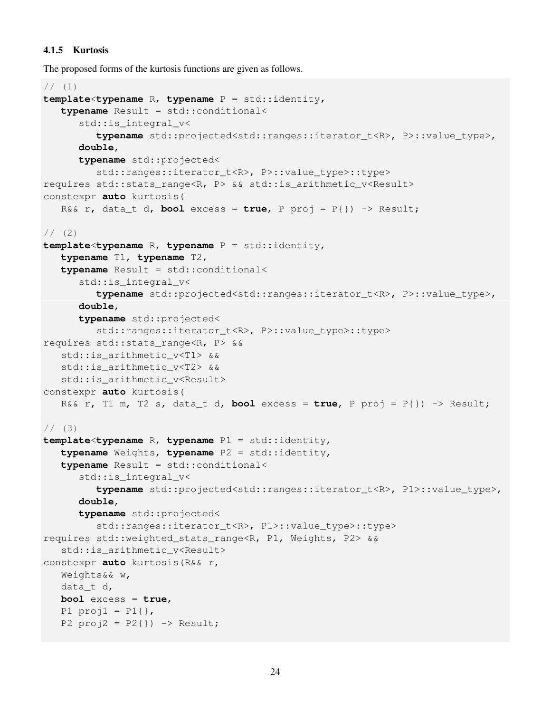## 4.1.5 Kurtosis

The proposed forms of the kurtosis functions are given as follows.

```
// (1)template<typename R, typename P = std::identity,
   typename Result = std::conditional<
      std::is_integral_v<
         typename std::projected<std::ranges::iterator t<R>, P>::value type>,
      double,
      typename std::projected<
         std::ranges::iterator_t<R>, P>::value_type>::type>
requires std::stats_range<R, P> && std::is_arithmetic_v<Result>
constexpr auto kurtosis(
   R&& r, data_t d, bool excess = true, P proj = P{}) -> Result;
1/ (2)template<typename R, typename P = std::identity,
   typename T1, typename T2,
   typename Result = std::conditional<
      std::is_integral_v<
         typename std::projected<std::ranges::iterator_t<R>, P>::value_type>,
      double,
      typename std::projected<
         std::ranges::iterator_t<R>, P>::value_type>::type>
requires std::stats_range<R, P> &&
   std::is_arithmetic_v<T1> &&
   std::is_arithmetic_v<T2> &&
   std::is_arithmetic_v<Result>
constexpr auto kurtosis(
   R&& r, T1 m, T2 s, data_t d, bool excess = true, P proj = P{}) -> Result;
1/ (3)template<typename R, typename P1 = std::identity,
   typename Weights, typename P2 = std::identity,
   typename Result = std::conditional<
      std:: is integral v<
         typename std::projected<std::ranges::iterator_t<R>, P1>::value_type>,
      double,
      typename std::projected<
         std::ranges::iterator t<R>, P1>::value type>::type>
requires std::weighted_stats_range<R, P1, Weights, P2> &&
   std::is_arithmetic_v<Result>
constexpr auto kurtosis(R&& r,
   Weights&& w,
   data_t d,
   bool excess = true,
   P1 proj1 = P1 },
   P2 proj2 = P2}) -> Result;
```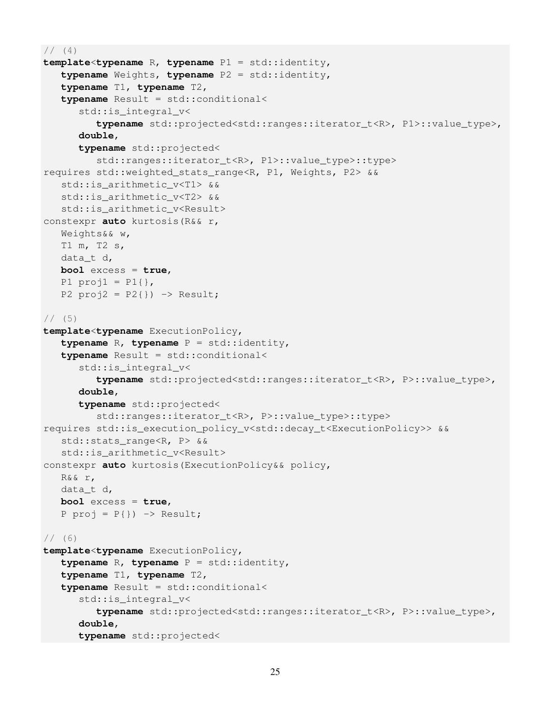```
// (4)template<typename R, typename P1 = std::identity,
   typename Weights, typename P2 = std::identity,
   typename T1, typename T2,
   typename Result = std::conditional<
      std:: is integral v<
         typename std::projected<std::ranges::iterator_t<R>, P1>::value_type>,
      double,
      typename std::projected<
         std::ranges::iterator_t<R>, P1>::value_type>::type>
requires std::weighted_stats_range<R, P1, Weights, P2> &&
   std::is_arithmetic_v<T1> &&
   std::is_arithmetic_v<T2> &&
   std:: is arithmetic v<Result>
constexpr auto kurtosis(R&& r,
   Weights&& w,
   T1 m, T2 s,
   data_t d,
   bool excess = true,
   P1 proj1 = P1 },
   P2 proj2 = P2}) -> Result;
1/ (5)template<typename ExecutionPolicy,
   typename R, typename P = std::identity,
   typename Result = std::conditional<
      std::is_integral_v<
         typename std::projected<std::ranges::iterator_t<R>, P>::value_type>,
      double,
      typename std::projected<
         std::ranges::iterator_t<R>, P>::value_type>::type>
requires std::is_execution_policy_v<std::decay_t<ExecutionPolicy>> &&
   std::stats_range<R, P> &&
   std::is_arithmetic_v<Result>
constexpr auto kurtosis(ExecutionPolicy&& policy,
   R&& r,
   data_t d,
   bool excess = true,
   P proj = P{}) -> Result;
1/ (6)template<typename ExecutionPolicy,
   typename R, typename P = std::identity,
   typename T1, typename T2,
   typename Result = std::conditional<
      std::is_integral_v<
         typename std::projected<std::ranges::iterator_t<R>, P>::value_type>,
      double,
      typename std::projected<
```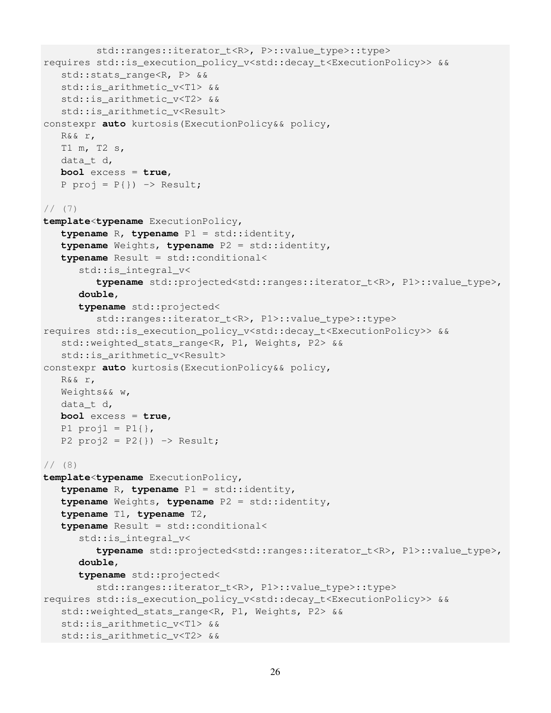```
std::ranges::iterator t<R>, P>::value type>::type>
requires std::is_execution_policy_v<std::decay_t<ExecutionPolicy>> &&
   std::stats_range<R, P> &&
   std:: is arithmetic v<T1> &&
   std::is_arithmetic_v<T2> &&
   std:: is arithmetic v<Result>
constexpr auto kurtosis(ExecutionPolicy&& policy,
   R&& r,
   T1 m, T2 s,
   data_t d,
  bool excess = true,
   P proj = P{}) -> Result;
1/ (7)template<typename ExecutionPolicy,
   typename R, typename P1 = std::identity,
   typename Weights, typename P2 = std::identity,
   typename Result = std::conditional<
      std::is_integral_v<
         typename std::projected<std::ranges::iterator_t<R>, P1>::value_type>,
      double,
      typename std::projected<
         std::ranges::iterator_t<R>, P1>::value_type>::type>
requires std::is_execution_policy_v<std::decay_t<ExecutionPolicy>> &&
   std::weighted_stats_range<R, P1, Weights, P2> &&
   std::is_arithmetic_v<Result>
constexpr auto kurtosis(ExecutionPolicy&& policy,
   R&& r,
   Weights&& w,
   data_t d,
  bool excess = true,
   P1 proj1 = P1{},
   P2 proj2 = P2}) -> Result;
1/ (8)template<typename ExecutionPolicy,
   typename R, typename P1 = std::identity,
   typename Weights, typename P2 = std::identity,
   typename T1, typename T2,
   typename Result = std::conditional<
      std::is_integral_v<
         typename std::projected<std::ranges::iterator_t<R>, P1>::value_type>,
      double,
      typename std::projected<
         std::ranges::iterator_t<R>, P1>::value_type>::type>
requires std::is_execution_policy_v<std::decay_t<ExecutionPolicy>> &&
   std::weighted_stats_range<R, P1, Weights, P2> &&
   std::is_arithmetic_v<T1> &&
   std::is_arithmetic_v<T2> &&
```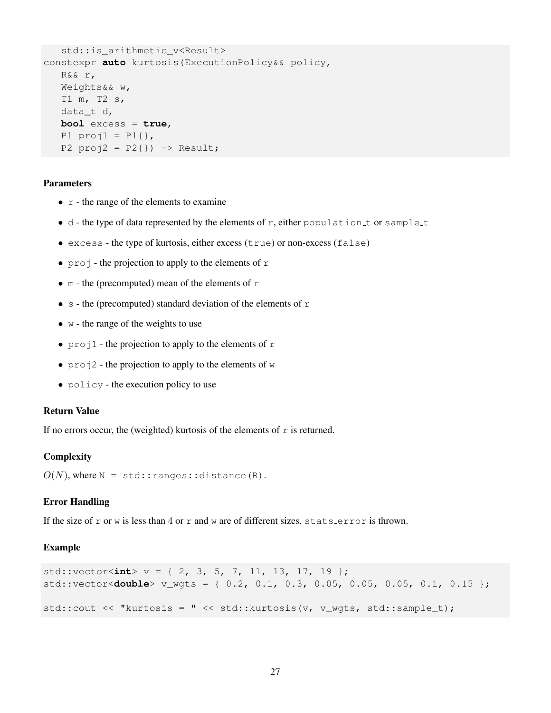```
std::is_arithmetic_v<Result>
constexpr auto kurtosis(ExecutionPolicy&& policy,
  R&& r,
  Weights&& w,
  T1 m, T2 s,
  data_t d,
  bool excess = true,
  P1 proj1 = P1{},
   P2 proj2 = P2}) -> Result;
```
- $r -$  the range of the elements to examine
- $\bullet$  d the type of data represented by the elements of r, either population t or sample t
- excess the type of kurtosis, either excess (true) or non-excess (false)
- $\pi$  projection to apply to the elements of r
- m the (precomputed) mean of the elements of  $r$
- s the (precomputed) standard deviation of the elements of  $r$
- $\bullet$  w the range of the weights to use
- projection to apply to the elements of r
- $\text{proj2}$  the projection to apply to the elements of w
- policy the execution policy to use

## Return Value

If no errors occur, the (weighted) kurtosis of the elements of  $r$  is returned.

#### **Complexity**

 $O(N)$ , where  $N = std:: ranges:idistance(R)$ .

#### Error Handling

If the size of r or w is less than 4 or r and w are of different sizes, stats error is thrown.

#### Example

```
std::vector<int> v = \{ 2, 3, 5, 7, 11, 13, 17, 19 \};
std::vector<double> v_wgts = { 0.2, 0.1, 0.3, 0.05, 0.05, 0.05, 0.1, 0.15 };
std::cout << "kurtosis = " << std::kurtosis(v, v_wgts, std::sample_t);
```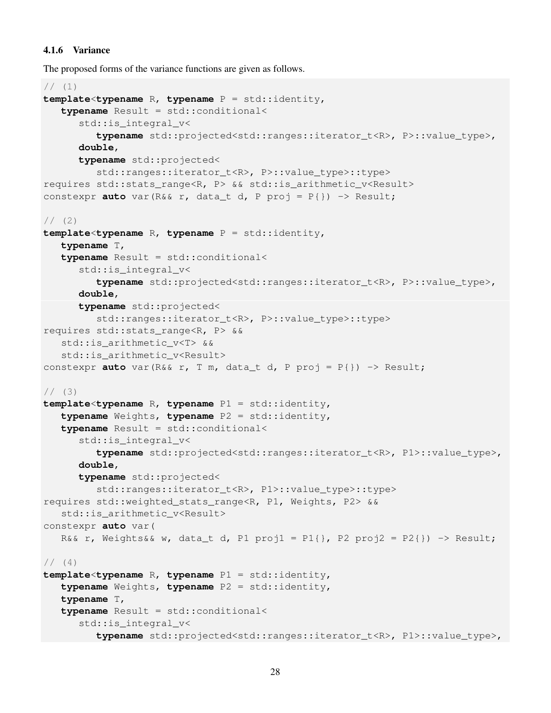## 4.1.6 Variance

The proposed forms of the variance functions are given as follows.

```
// (1)template<typename R, typename P = std::identity,
   typename Result = std::conditional<
      std::is_integral_v<
         typename std::projected<std::ranges::iterator_t<R>, P>::value_type>,
      double,
      typename std::projected<
         std::ranges::iterator_t<R>, P>::value_type>::type>
requires std::stats_range<R, P> && std::is_arithmetic_v<Result>
constexpr auto var(R&& r, data_t d, P proj = P{}) -> Result;
1/ (2)template<typename R, typename P = std::identity,
   typename T,
   typename Result = std::conditional<
      std::is_integral_v<
         typename std::projected<std::ranges::iterator_t<R>, P>::value_type>,
      double,
      typename std::projected<
         std::ranges::iterator_t<R>, P>::value_type>::type>
requires std::stats_range<R, P> &&
   std::is arithmetic v<T> &&
   std::is_arithmetic_v<Result>
constexpr auto var(R&& r, T m, data_t d, P proj = P{}) -> Result;
1/ (3)template<typename R, typename P1 = std::identity,
   typename Weights, typename P2 = std::identity,
   typename Result = std::conditional<
      std::is_integral_v<
         typename std::projected<std::ranges::iterator_t<R>, P1>::value_type>,
      double,
      typename std::projected<
         std::ranges::iterator_t<R>, P1>::value_type>::type>
requires std::weighted_stats_range<R, P1, Weights, P2> &&
   std:: is arithmetic v<Result>
constexpr auto var(
   R&& r, Weights&& w, data_t d, P1 proj1 = P1{}, P2 proj2 = P2{}) -> Result;
1/ (4)template<typename R, typename P1 = std::identity,
   typename Weights, typename P2 = std::identity,
   typename T,
   typename Result = std::conditional<
      std::is_integral_v<
         typename std::projected<std::ranges::iterator_t<R>, P1>::value_type>,
```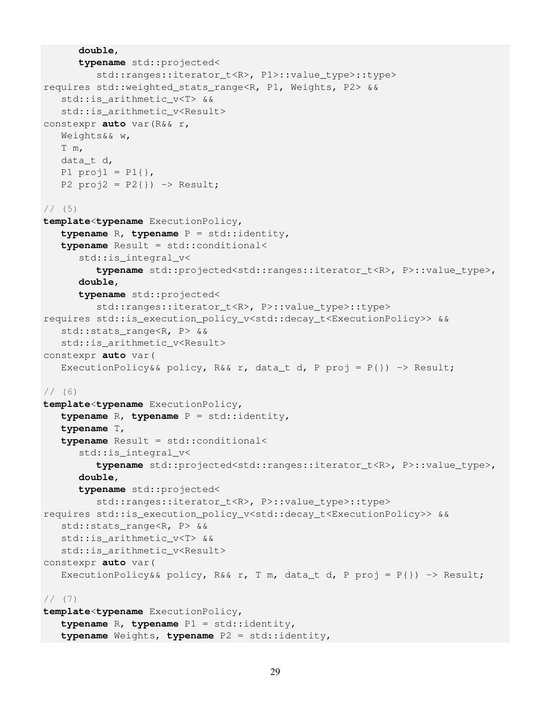```
double,
      typename std::projected<
         std::ranges::iterator_t<R>, P1>::value_type>::type>
requires std::weighted_stats_range<R, P1, Weights, P2> &&
   std::is_arithmetic_v<T> &&
   std:: is arithmetic v<Result>
constexpr auto var(R&& r,
   Weights&& w,
   T m,
   data_t d,
   P1 proj1 = P1{},
   P2 proj2 = P2}) -> Result;
1/ (5)template<typename ExecutionPolicy,
   typename R, typename P = std::identity,
   typename Result = std::conditional<
      std::is_integral_v<
         typename std::projected<std::ranges::iterator_t<R>, P>::value_type>,
      double,
      typename std::projected<
         std::ranges::iterator_t<R>, P>::value_type>::type>
requires std:: is execution policy v<std::decay_t<ExecutionPolicy>> &&
   std::stats_range<R, P> &&
   std::is_arithmetic_v<Result>
constexpr auto var(
   ExecutionPolicy&& policy, R&& r, data_t d, P proj = P{}) -> Result;
1/ (6)template<typename ExecutionPolicy,
   typename R, typename P = std::identity,
   typename T,
   typename Result = std::conditional<
      std::is_integral_v<
         typename std::projected<std::ranges::iterator_t<R>, P>::value_type>,
      double,
      typename std::projected<
         std::ranges::iterator_t<R>, P>::value_type>::type>
requires std::is_execution_policy_v<std::decay_t<ExecutionPolicy>> &&
   std::stats_range<R, P> &&
   std::is_arithmetic_v<T> &&
   std::is_arithmetic_v<Result>
constexpr auto var(
   ExecutionPolicy&& policy, R&& r, T m, data_t d, P proj = P{}) -> Result;
1/ (7)template<typename ExecutionPolicy,
   typename R, typename P1 = std::identity,
   typename Weights, typename P2 = std::identity,
```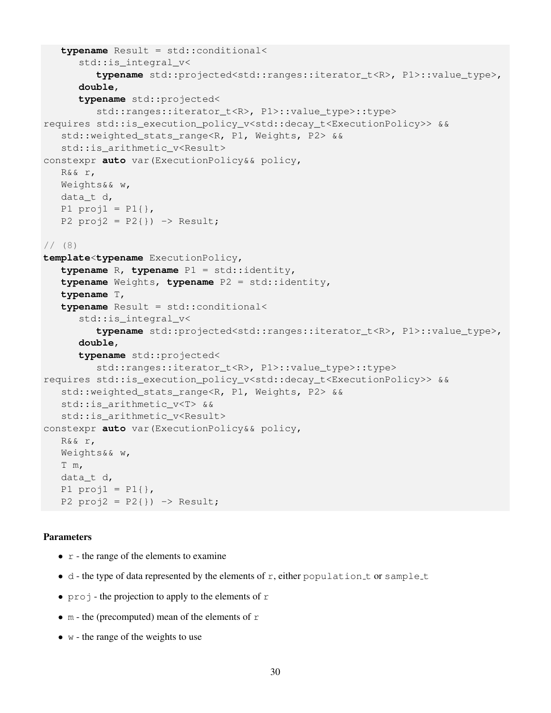```
typename Result = std::conditional<
      std::is_integral_v<
         typename std::projected<std::ranges::iterator_t<R>, P1>::value_type>,
      double,
      typename std::projected<
         std::ranges::iterator t<R>, P1>::value type>::type>
requires std::is_execution_policy_v<std::decay_t<ExecutionPolicy>> &&
   std::weighted_stats_range<R, P1, Weights, P2> &&
   std::is_arithmetic_v<Result>
constexpr auto var(ExecutionPolicy&& policy,
   R&& r,
   Weights&& w,
   data_t d,
   P1 proj1 = P1 },
   P2 proj2 = P2}) -> Result;
1/ (8)template<typename ExecutionPolicy,
   typename R, typename P1 = std::identity,
   typename Weights, typename P2 = std::identity,
   typename T,
   typename Result = std::conditional<
      std:: is integral v<
         typename std::projected<std::ranges::iterator_t<R>, P1>::value_type>,
      double,
      typename std::projected<
         std::ranges::iterator_t<R>, P1>::value_type>::type>
requires std::is_execution_policy_v<std::decay_t<ExecutionPolicy>> &&
   std::weighted stats range<R, P1, Weights, P2> &&
   std::is arithmetic v<T> &&
   std::is_arithmetic_v<Result>
constexpr auto var(ExecutionPolicy&& policy,
   R&& r,
   Weights&& w,
   T m,
   data_t d,
   P1 proj1 = P1{},
   P2 proj2 = P2}) -> Result;
```
- $r -$  the range of the elements to examine
- $\bullet$  d the type of data represented by the elements of r, either population t or sample t
- $\pi$  projection to apply to the elements of r
- m the (precomputed) mean of the elements of  $r$
- $w$  the range of the weights to use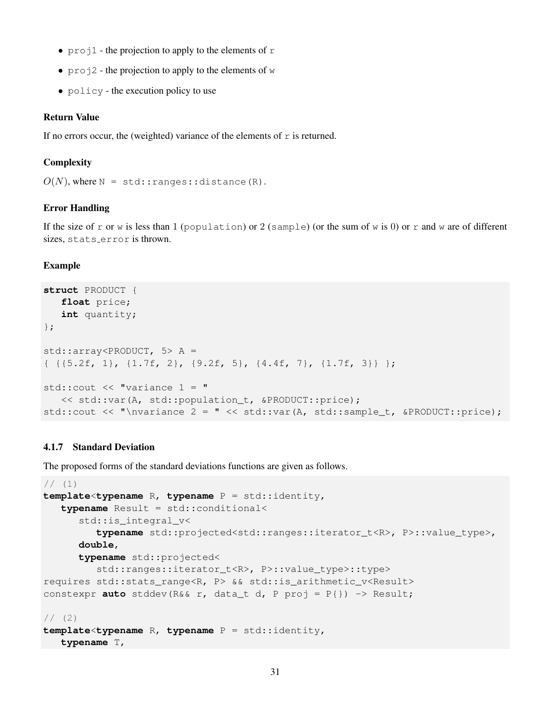- projection to apply to the elements of r
- projection to apply to the elements of  $w$
- policy the execution policy to use

#### Return Value

If no errors occur, the (weighted) variance of the elements of  $r$  is returned.

## **Complexity**

```
O(N), where N = std:range:idistance(R).
```
## Error Handling

If the size of r or w is less than 1 (population) or 2 (sample) (or the sum of w is 0) or r and w are of different sizes, stats error is thrown.

#### Example

```
struct PRODUCT {
   float price;
   int quantity;
};
std::array<PRODUCT, 5> A =
{ {{5.2f, 1}, {1.7f, 2}, {9.2f, 5}, {4.4f, 7}, {1.7f, 3}} };
std:: cout \lt\lt "variance 1 = "
   << std::var(A, std::population_t, &PRODUCT::price);
std::cout << "\nvariance 2 = " << std::var(A, std::sample_t, &PRODUCT::price);
```
## 4.1.7 Standard Deviation

The proposed forms of the standard deviations functions are given as follows.

```
// (1)template<typename R, typename P = std::identity,
   typename Result = std::conditional<
      std::is_integral_v<
         typename std::projected<std::ranges::iterator_t<R>, P>::value_type>,
      double,
      typename std::projected<
         std::ranges::iterator_t<R>, P>::value_type>::type>
requires std::stats_range<R, P> && std::is_arithmetic_v<Result>
constexpr auto stddev(R&& r, data_t d, P proj = P{}) -> Result;
1/ (2)template<typename R, typename P = std::identity,
```
## **typename** T,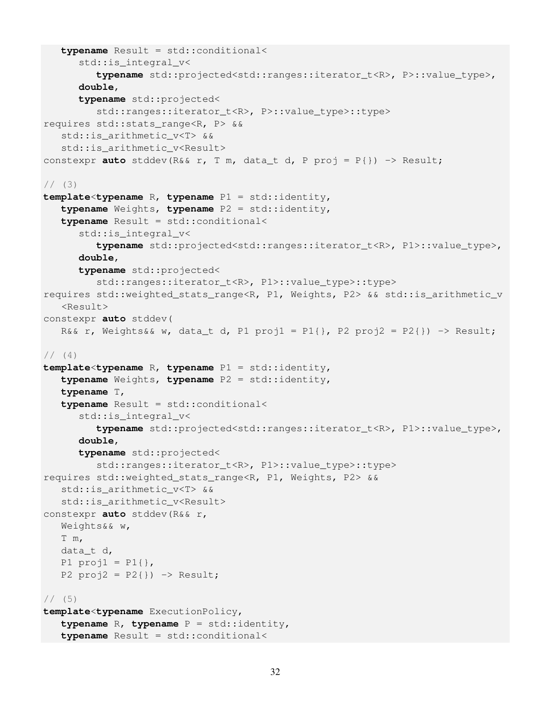```
typename Result = std::conditional<
      std::is_integral_v<
         typename std::projected<std::ranges::iterator_t<R>, P>::value_type>,
      double,
      typename std::projected<
         std::ranges::iterator t<R>, P>::value type>::type>
requires std::stats_range<R, P> &&
   std::is arithmetic v<T> &&
   std::is_arithmetic_v<Result>
constexpr auto stddev(R&& r, T m, data_t d, P proj = P{}) -> Result;
1/ (3)template<typename R, typename P1 = std::identity,
   typename Weights, typename P2 = std::identity,
   typename Result = std::conditional<
      std::is_integral_v<
         typename std::projected<std::ranges::iterator_t<R>, P1>::value_type>,
      double,
      typename std::projected<
         std::ranges::iterator_t<R>, P1>::value_type>::type>
requires std::weighted_stats_range<R, P1, Weights, P2> && std::is_arithmetic_v
   <Result>
constexpr auto stddev(
   R&& r, Weights&& w, data_t d, P1 proj1 = P1{}, P2 proj2 = P2{}) -> Result;
// (4)template<typename R, typename P1 = std::identity,
   typename Weights, typename P2 = std::identity,
   typename T,
   typename Result = std::conditional<
      std::is_integral_v<
         typename std::projected<std::ranges::iterator_t<R>, P1>::value_type>,
      double,
      typename std::projected<
         std::ranges::iterator_t<R>, P1>::value_type>::type>
requires std::weighted_stats_range<R, P1, Weights, P2> &&
   std::is arithmetic v<T> &&
   std:: is arithmetic v<Result>
constexpr auto stddev(R&& r,
   Weights&& w,
   T m,
   data_t d,
   P1 proj1 = P1{},
   P2 proj2 = P2}) -> Result;
1/ (5)template<typename ExecutionPolicy,
   typename R, typename P = std::identity,
   typename Result = std::conditional<
```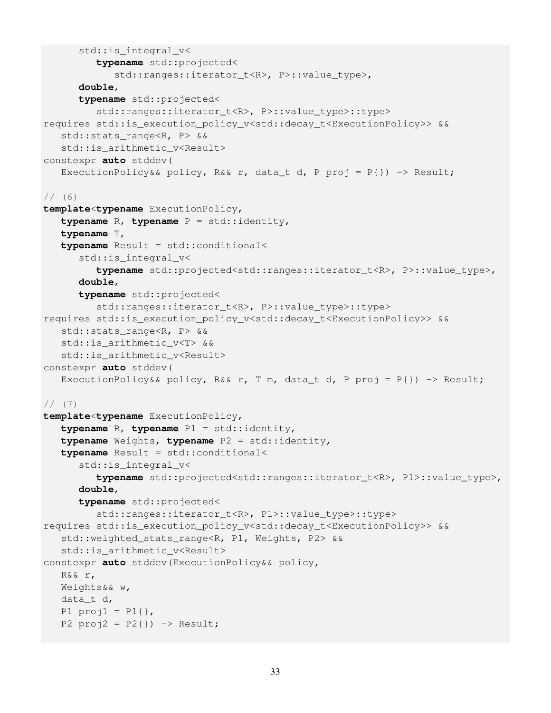```
std::is integral v<
         typename std::projected<
            std::ranges::iterator_t<R>, P>::value_type>,
      double,
      typename std::projected<
         std::ranges::iterator t<R>, P>::value type>::type>
requires std::is_execution_policy_v<std::decay_t<ExecutionPolicy>> &&
   std::stats range<R, P> &&
   std::is_arithmetic_v<Result>
constexpr auto stddev(
   ExecutionPolicy&& policy, R&& r, data_t d, P proj = P{}) -> Result;
1/ (6)template<typename ExecutionPolicy,
   typename R, typename P = std::identity,
   typename T,
   typename Result = std::conditional<
      std::is_integral_v<
         typename std::projected<std::ranges::iterator_t<R>, P>::value_type>,
      double,
      typename std::projected<
         std::ranges::iterator_t<R>, P>::value_type>::type>
requires std:: is execution policy v<std::decay_t<ExecutionPolicy>> &&
   std::stats_range<R, P> &&
   std::is_arithmetic_v<T> &&
   std::is_arithmetic_v<Result>
constexpr auto stddev(
   ExecutionPolicy&& policy, R&& r, T m, data_t d, P proj = P{}) -> Result;
// (7)
template<typename ExecutionPolicy,
   typename R, typename P1 = std::identity,
   typename Weights, typename P2 = std::identity,
   typename Result = std::conditional<
      std::is_integral_v<
         typename std::projected<std::ranges::iterator t<R>, P1>::value type>,
      double,
      typename std::projected<
         std::ranges::iterator_t<R>, P1>::value_type>::type>
requires std::is_execution_policy_v<std::decay_t<ExecutionPolicy>> &&
   std::weighted_stats_range<R, P1, Weights, P2> &&
   std::is_arithmetic_v<Result>
constexpr auto stddev(ExecutionPolicy&& policy,
   R&& r,
   Weights&& w,
   data_t d,
   P1 proj1 = P1{},
   P2 proj2 = P2}) -> Result;
```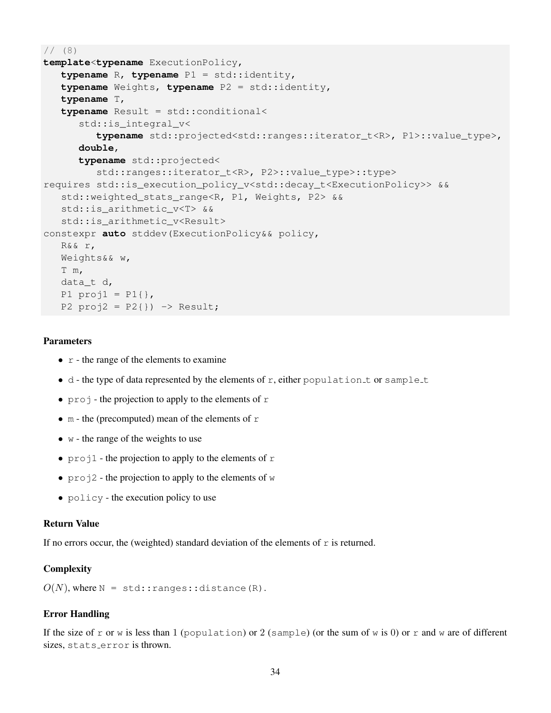```
// (8)template<typename ExecutionPolicy,
   typename R, typename P1 = std::identity,
   typename Weights, typename P2 = std::identity,
   typename T,
   typename Result = std::conditional<
      std::is_integral_v<
         typename std::projected<std::ranges::iterator_t<R>, P1>::value_type>,
      double,
      typename std::projected<
         std::ranges::iterator_t<R>, P2>::value_type>::type>
requires std::is_execution_policy_v<std::decay_t<ExecutionPolicy>> &&
   std::weighted_stats_range<R, P1, Weights, P2> &&
   std::is arithmetic v<T> &&
   std::is_arithmetic_v<Result>
constexpr auto stddev(ExecutionPolicy&& policy,
   R&& r,
   Weights&& w,
   T m,
   data_t d,
   P1 proj1 = P1{},
   P2 proj2 = P2}) -> Result;
```
- $r$  the range of the elements to examine
- $\bullet$  d the type of data represented by the elements of r, either population t or sample t
- projection to apply to the elements of  $r$
- m the (precomputed) mean of the elements of  $r$
- $\bullet$  w the range of the weights to use
- projection to apply to the elements of r
- $\text{proj2 the projection to apply to the elements of } w$
- policy the execution policy to use

#### Return Value

If no errors occur, the (weighted) standard deviation of the elements of  $r$  is returned.

#### **Complexity**

 $O(N)$ , where  $N = std:range:distance(R)$ .

## Error Handling

If the size of r or w is less than 1 (population) or 2 (sample) (or the sum of w is 0) or r and w are of different sizes, stats error is thrown.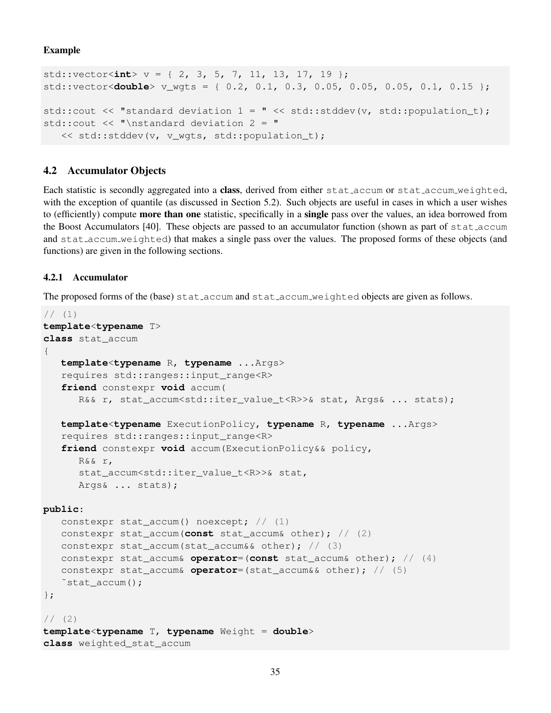Example

```
std::vector<int> v = \{ 2, 3, 5, 7, 11, 13, 17, 19 \};
std::vector<double> v_wgts = { 0.2, 0.1, 0.3, 0.05, 0.05, 0.05, 0.1, 0.15 };
std::cout << "standard deviation 1 = " << std::stddev(v, std::population_t);
std::cout << "\nstandard deviation 2 = "
   << std::stddev(v, v_wgts, std::population_t);
```
## 4.2 Accumulator Objects

Each statistic is secondly aggregated into a **class**, derived from either stat accum or stat accum weighted, with the exception of quantile (as discussed in Section 5.2). Such objects are useful in cases in which a user wishes to (efficiently) compute **more than one** statistic, specifically in a **single** pass over the values, an idea borrowed from the Boost Accumulators [40]. These objects are passed to an accumulator function (shown as part of stat accum and stat accum weighted) that makes a single pass over the values. The proposed forms of these objects (and functions) are given in the following sections.

## 4.2.1 Accumulator

The proposed forms of the (base) stat accum and stat accum weighted objects are given as follows.

```
// (1)template<typename T>
class stat_accum
{
   template<typename R, typename ...Args>
   requires std::ranges::input_range<R>
   friend constexpr void accum(
      R&& r, stat_accum<std::iter_value_t<R>>& stat, Args& ... stats);
   template<typename ExecutionPolicy, typename R, typename ...Args>
   requires std::ranges::input_range<R>
   friend constexpr void accum(ExecutionPolicy&& policy,
      R&& r,
      stat_accum<std::iter_value_t<R>>& stat,
      Args& ... stats);
public:
   constexpr stat_accum() noexcept; // (1)
   constexpr stat_accum(const stat_accum& other); // (2)
   constexpr stat accum(stat accum&& other); // (3)
   constexpr stat_accum& operator=(const stat_accum& other); // (4)
   constexpr stat_accum& operator=(stat_accum&& other); // (5)
   ~stat_accum();
};
1/ (2)template<typename T, typename Weight = double>
class weighted_stat_accum
```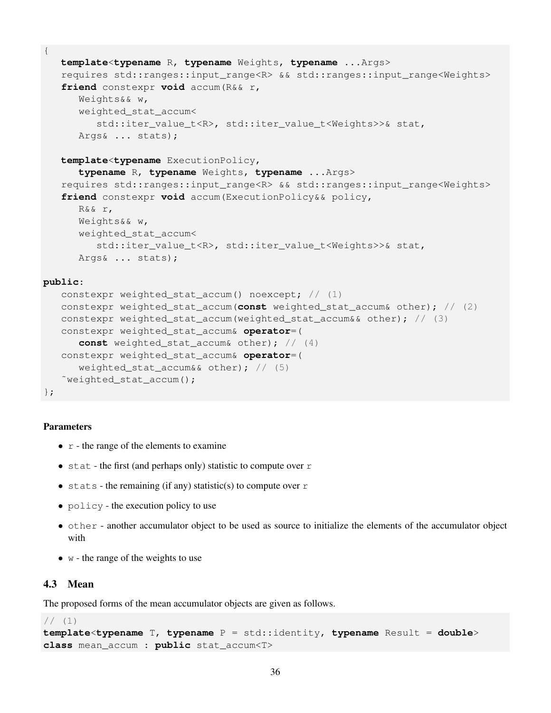```
template<typename R, typename Weights, typename ...Args>
requires std::ranges::input_range<R> && std::ranges::input_range<Weights>
friend constexpr void accum(R&& r,
   Weights&& w,
   weighted_stat_accum<
      std::iter_value_t<R>, std::iter_value_t<Weights>>& stat,
   Args& ... stats);
template<typename ExecutionPolicy,
   typename R, typename Weights, typename ...Args>
requires std::ranges::input_range<R> && std::ranges::input_range<Weights>
friend constexpr void accum(ExecutionPolicy&& policy,
   R&& r,
   Weights&& w,
   weighted_stat_accum<
      std::iter_value_t<R>, std::iter_value_t<Weights>>& stat,
```

```
Args& ... stats);
```
#### **public**:

{

```
constexpr weighted stat accum() noexcept; // (1)constexpr weighted_stat_accum(const weighted_stat_accum& other); // (2)
constexpr weighted_stat_accum(weighted_stat_accum&& other); // (3)
constexpr weighted_stat_accum& operator=(
   const weighted_stat_accum& other); // (4)
constexpr weighted_stat_accum& operator=(
   weighted_stat_accum&& other); // (5)˜weighted_stat_accum();
```

```
};
```
## Parameters

- $r$  the range of the elements to examine
- stat the first (and perhaps only) statistic to compute over  $r$
- stats the remaining (if any) statistic(s) to compute over  $r$
- policy the execution policy to use
- other another accumulator object to be used as source to initialize the elements of the accumulator object with
- $\bullet$  w the range of the weights to use

## 4.3 Mean

The proposed forms of the mean accumulator objects are given as follows.

```
// (1)
```

```
template<typename T, typename P = std::identity, typename Result = double>
class mean_accum : public stat_accum<T>
```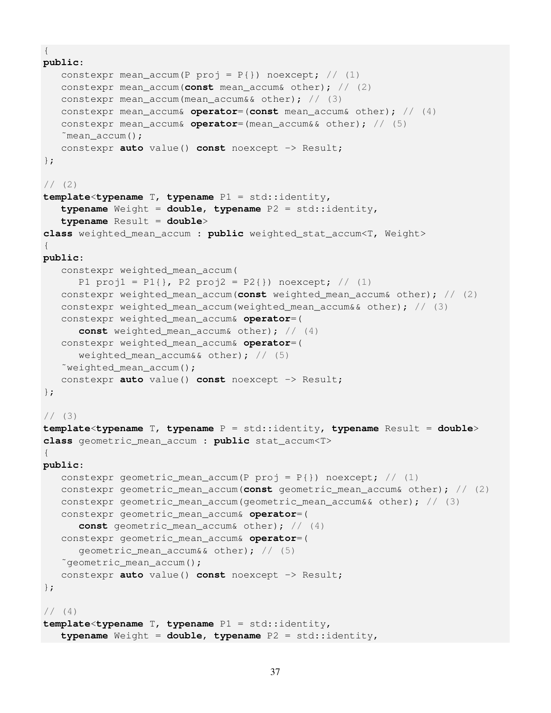```
{
public:
   constexpr mean_accum(P proj = P{}) noexcept; // (1)
   constexpr mean_accum(const mean_accum& other); // (2)
   constexpr mean_accum(mean_accum&& other); // (3)
   constexpr mean_accum& operator=(const mean_accum& other); // (4)
   constexpr mean_accum& operator=(mean_accum&& other); // (5)
   \tilde{m}mean accum();
   constexpr auto value() const noexcept -> Result;
};
1/ (2)template<typename T, typename P1 = std::identity,
   typename Weight = double, typename P2 = std::identity,
   typename Result = double>
class weighted_mean_accum : public weighted_stat_accum<T, Weight>
{
public:
   constexpr weighted_mean_accum(
      P1 proj1 = P1{}, P2 proj2 = P2{}) noexcept; // (1)
   constexpr weighted_mean_accum(const weighted_mean_accum& other); // (2)
   constexpr weighted_mean_accum(weighted_mean_accum&& other); // (3)
   constexpr weighted_mean_accum& operator=(
      const weighted_mean_accum& other); // (4)
   constexpr weighted_mean_accum& operator=(
      weighted_mean_accum&& other); // (5)
   ˜weighted_mean_accum();
   constexpr auto value() const noexcept -> Result;
};
1/ (3)template<typename T, typename P = std::identity, typename Result = double>
class geometric_mean_accum : public stat_accum<T>
{
public:
   constexpr geometric mean accum(P proj = P{}) noexcept; // (1)
   constexpr geometric_mean_accum(const geometric_mean_accum& other); // (2)
   constexpr qeometric_mean_accum(qeometric_mean_accum&& other); // (3)
   constexpr geometric_mean_accum& operator=(
      const geometric_mean_accum& other); // (4)
   constexpr geometric_mean_accum& operator=(
      qeometric_mean_accum&& other); // (5)˜geometric_mean_accum();
   constexpr auto value() const noexcept -> Result;
};
// (4)template<typename T, typename P1 = std::identity,
  typename Weight = double, typename P2 = std::identity,
```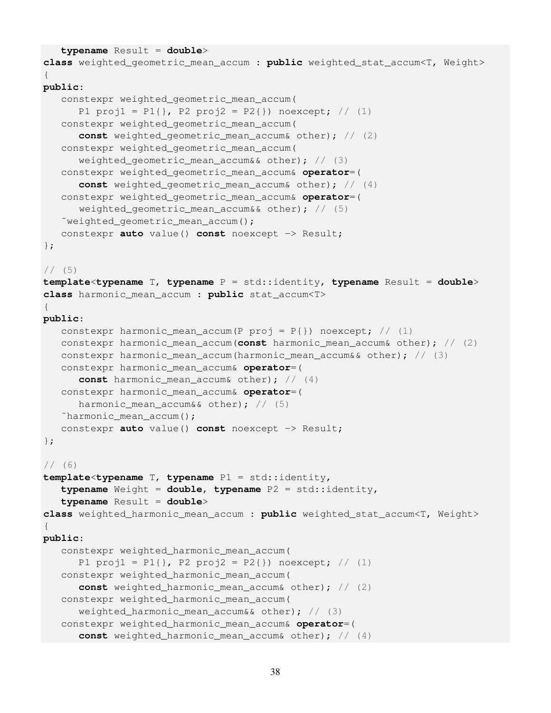```
typename Result = double>
class weighted_geometric_mean_accum : public weighted_stat_accum<T, Weight>
{
public:
   constexpr weighted_geometric_mean_accum(
      P1 proj1 = P1{}, P2 proj2 = P2{}) noexcept; // (1)
   constexpr weighted_geometric_mean_accum(
      const weighted_geometric_mean_accum& other); // (2)
   constexpr weighted_geometric_mean_accum(
      weighted_geometric_mean_accum&& other); // (3)
   constexpr weighted_geometric_mean_accum& operator=(
      const weighted_geometric_mean_accum& other); // (4)
   constexpr weighted_geometric_mean_accum& operator=(
      weighted_geometric_mean_accum&& other); // (5)
   ˜weighted_geometric_mean_accum();
   constexpr auto value() const noexcept -> Result;
};
// (5)template<typename T, typename P = std::identity, typename Result = double>
class harmonic_mean_accum : public stat_accum<T>
{
public:
   constexpr harmonic_mean_accum(P proj = P\{\}) noexcept; // (1)
   constexpr harmonic_mean_accum(const harmonic_mean_accum& other); // (2)
   constexpr harmonic_mean_accum(harmonic_mean_accum&& other); // (3)
   constexpr harmonic_mean_accum& operator=(
      const harmonic_mean_accum& other); // (4)
   constexpr harmonic_mean_accum& operator=(
      harmonic_mean_accum&& other); // (5)˜harmonic_mean_accum();
   constexpr auto value() const noexcept -> Result;
};
1/ (6)template<typename T, typename P1 = std::identity,
   typename Weight = double, typename P2 = std::identity,
   typename Result = double>
class weighted_harmonic_mean_accum : public weighted_stat_accum<T, Weight>
{
public:
   constexpr weighted_harmonic_mean_accum(
      P1 proj1 = P1 }, P2 proj2 = P2 }) noexcept; // (1)
   constexpr weighted_harmonic_mean_accum(
      const weighted_harmonic_mean_accum& other); // (2)
   constexpr weighted_harmonic_mean_accum(
      weighted_harmonic_mean_accum&& other); // (3)
   constexpr weighted_harmonic_mean_accum& operator=(
      const weighted_harmonic_mean_accum& other); // (4)
```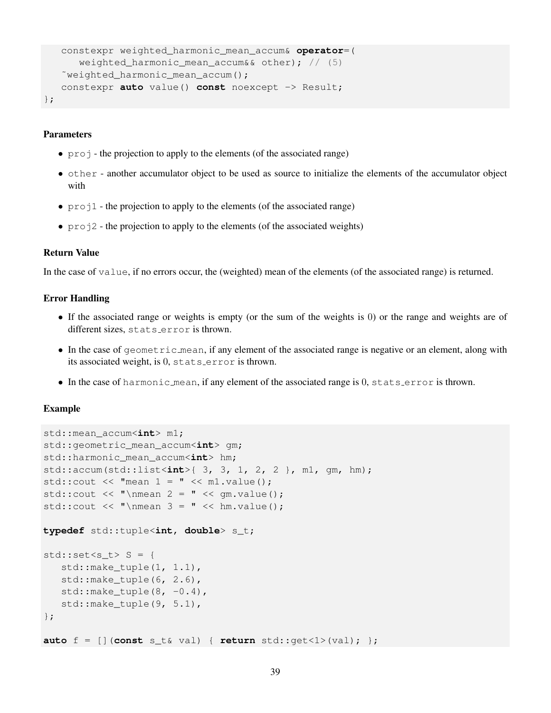```
constexpr weighted_harmonic_mean_accum& operator=(
      weighted_harmonic_mean_accum&& other); // (5)˜weighted_harmonic_mean_accum();
   constexpr auto value() const noexcept -> Result;
};
```
- proj the projection to apply to the elements (of the associated range)
- other another accumulator object to be used as source to initialize the elements of the accumulator object with
- $\text{proj1}$  the projection to apply to the elements (of the associated range)
- proj2 the projection to apply to the elements (of the associated weights)

## Return Value

In the case of value, if no errors occur, the (weighted) mean of the elements (of the associated range) is returned.

### Error Handling

- If the associated range or weights is empty (or the sum of the weights is 0) or the range and weights are of different sizes, stats error is thrown.
- In the case of geometric mean, if any element of the associated range is negative or an element, along with its associated weight, is 0, stats error is thrown.
- In the case of harmonic mean, if any element of the associated range is 0, stats error is thrown.

#### Example

```
std::mean_accum<int> m1;
std::geometric_mean_accum<int> gm;
std::harmonic_mean_accum<int> hm;
std::accum(std::list<int>{ 3, 3, 1, 2, 2 }, m1, gm, hm);
std::cout \lt\lt "mean 1 = " \lt\lt m1.value();
std::cout << "\nmean 2 = " << qm.value();
std::cout << "\nmean 3 = " << hm.value();
typedef std::tuple<int, double> s_t;
std::set <s_t> S = \{std::make\_tuple(1, 1.1),std::make_tuple(6, 2.6),
   std::make\_tuple(8, -0.4),std::make_tuple(9, 5.1),
};
auto f = [](const s_t& val) { return std::get<1>(val); };
```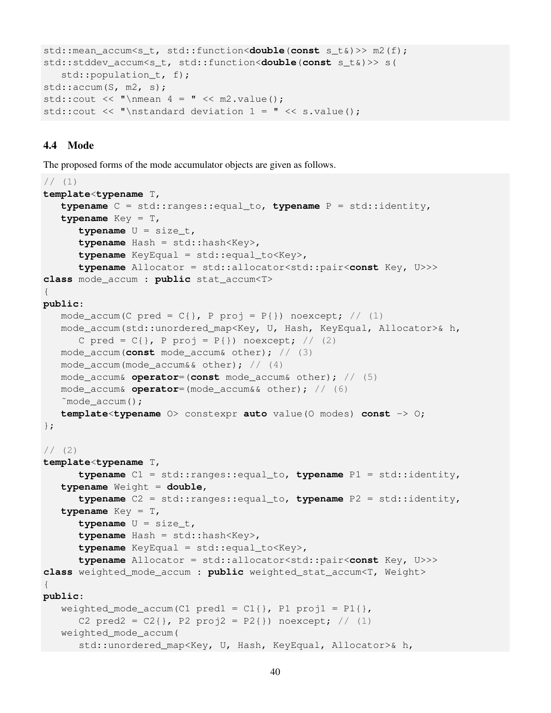```
std::mean_accum<s_t, std::function<double(const s_t&)>> m2(f);
std::stddev_accum<s_t, std::function<double(const s_t&)>> s(
   std::population_t, f);
std::accum(S, m2, s);
std::cout << "\nmean 4 = " << m2.value();
std::cout << "\nstandard deviation 1 = " << s.value();
```
## 4.4 Mode

The proposed forms of the mode accumulator objects are given as follows.

```
// (1)template<typename T,
   typename C = std::ranges::equal_to, typename P = std::identity,
   typename Key = T,
      typename U = size_t,
      typename Hash = std::hash<Key>,
      typename KeyEqual = std::equal_to<Key>,
      typename Allocator = std::allocator<std::pair<const Key, U>>>
class mode_accum : public stat_accum<T>
{
public:
   mode_accum(C pred = C\, P proj = P\) noexcept; // (1)
   mode_accum(std::unordered_map<Key, U, Hash, KeyEqual, Allocator>& h,
      C pred = C\{\}, P proj = P\{\}) noexcept; // (2)
   mode_accum(const mode_accum& other); // (3)
   mode_accum(mode_accum&& other); // (4)
   mode_accum& operator=(const mode_accum& other); // (5)
   mode_accum& operator=(mode_accum&& other); // (6)
   ˜mode_accum();
   template<typename O> constexpr auto value(O modes) const -> O;
};
1/ (2)template<typename T,
      typename C1 = std::ranges::equal_to, typename P1 = std::identity,
   typename Weight = double,
      typename C2 = std::ranges::equal_to, typename P2 = std::identity,
   typename Key = T,
      typename U = size_t,
      typename Hash = std::hash<Key>,
      typename KeyEqual = std::equal_to<Key>,
      typename Allocator = std::allocator<std::pair<const Key, U>>>
class weighted_mode_accum : public weighted_stat_accum<T, Weight>
{
public:
   weighted_mode_accum(C1 pred1 = C1{}, P1 proj1 = P1{},
      C2 pred2 = C2{}, P2 proj2 = P2{}) noexcept; // (1)
   weighted_mode_accum(
      std::unordered_map<Key, U, Hash, KeyEqual, Allocator>& h,
```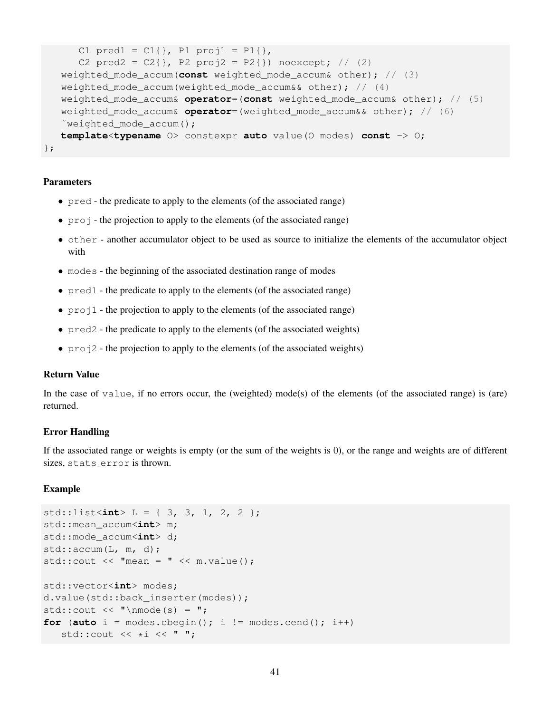```
C1 pred1 = C1{}, P1 proj1 = P1{},
      C2 pred2 = C2{}, P2 proj2 = P2{}) noexcept; // (2)
   weighted_mode_accum(const weighted_mode_accum& other); // (3)
   weighted_mode_accum(weighted_mode_accum&& other); // (4)weighted_mode_accum& operator=(const weighted_mode_accum& other); // (5)
   weighted_mode_accum& operator=(weighted_mode_accum&& other); // (6)
   ~weighted mode accum();
   template<typename O> constexpr auto value(O modes) const -> O;
};
```
- pred the predicate to apply to the elements (of the associated range)
- $\pi$  projection to apply to the elements (of the associated range)
- other another accumulator object to be used as source to initialize the elements of the accumulator object with
- modes the beginning of the associated destination range of modes
- pred1 the predicate to apply to the elements (of the associated range)
- proj1 the projection to apply to the elements (of the associated range)
- pred2 the predicate to apply to the elements (of the associated weights)
- $\pi$  pro  $\dot{\pi}$  the projection to apply to the elements (of the associated weights)

#### Return Value

In the case of value, if no errors occur, the (weighted) mode(s) of the elements (of the associated range) is (are) returned.

#### Error Handling

If the associated range or weights is empty (or the sum of the weights is 0), or the range and weights are of different sizes, stats error is thrown.

#### Example

```
std::list<int> L = { 3, 3, 1, 2, 2 };
std::mean_accum<int> m;
std::mode accum<int> d;
std::accum(L, m, d);std::cout << "mean = " << m.value();
std::vector<int> modes;
d.value(std::back_inserter(modes));
std::cout \langle \cdot \cdot \cdot \cdot \cdot \cdot " \nmode(s) = ";
for (auto i = modes.cbegin(); i := modes.cend(); i++)
   std::cout \lt\lt \star i \lt\lt" ";
```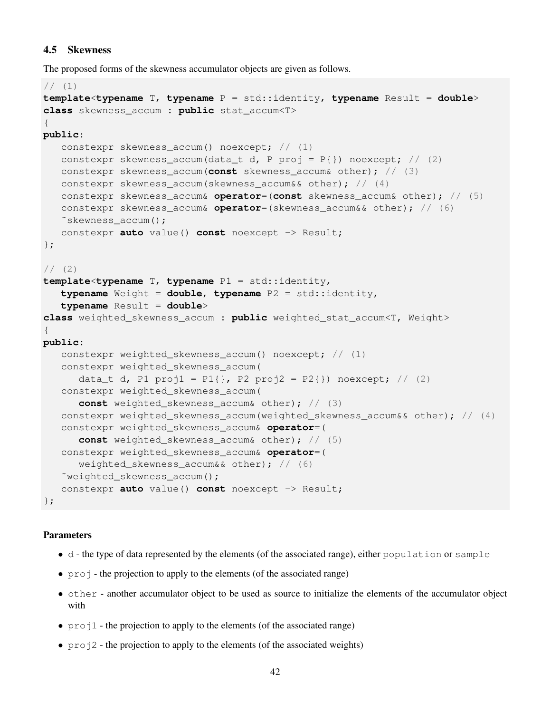## 4.5 Skewness

The proposed forms of the skewness accumulator objects are given as follows.

```
// (1)template<typename T, typename P = std:identity, typename Result = double>
class skewness_accum : public stat_accum<T>
{
public:
   constexpr skewness_accum() noexcept; // (1)
   constexpr skewness_accum(data_t d, P proj = P{}) noexcept; // (2)
   constexpr skewness_accum(const skewness_accum& other); // (3)
   constexpr skewness_accum(skewness_accum&& other); // (4)constexpr skewness_accum& operator=(const skewness_accum& other); // (5)
   constexpr skewness_accum& operator=(skewness_accum&& other); // (6)
   ˜skewness_accum();
   constexpr auto value() const noexcept -> Result;
};
1/ (2)template<typename T, typename P1 = std::identity,
   typename Weight = double, typename P2 = std::identity,
   typename Result = double>
class weighted_skewness_accum : public weighted_stat_accum<T, Weight>
{
public:
   constexpr weighted_skewness_accum() noexcept; // (1)
   constexpr weighted_skewness_accum(
      data_t d, P1 proj1 = P1{}, P2 proj2 = P2{}) noexcept; // (2)
   constexpr weighted_skewness_accum(
      const weighted_skewness_accum& other); // (3)
   constexpr weighted_skewness_accum(weighted_skewness_accum&& other); // (4)
   constexpr weighted_skewness_accum& operator=(
      const weighted_skewness_accum& other); // (5)
   constexpr weighted_skewness_accum& operator=(
      weighted_skewness_accum&& other); // (6)
   ~weighted skewness accum();
   constexpr auto value() const noexcept -> Result;
};
```
## Parameters

- d the type of data represented by the elements (of the associated range), either population or sample
- proj the projection to apply to the elements (of the associated range)
- other another accumulator object to be used as source to initialize the elements of the accumulator object with
- proj1 the projection to apply to the elements (of the associated range)
- proj2 the projection to apply to the elements (of the associated weights)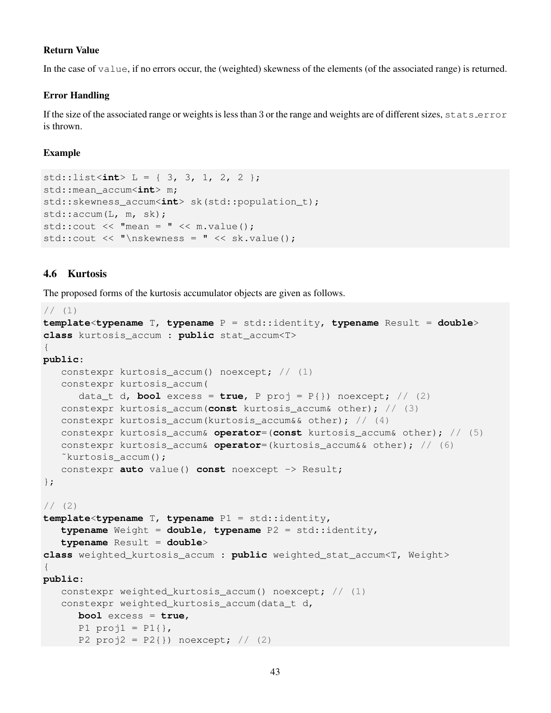## Return Value

In the case of value, if no errors occur, the (weighted) skewness of the elements (of the associated range) is returned.

## Error Handling

If the size of the associated range or weights is less than 3 or the range and weights are of different sizes, stats error is thrown.

#### Example

```
std::list<int> L = { 3, 3, 1, 2, 2 };
std::mean_accum<int> m;
std::skewness_accum<int> sk(std::population_t);
std::accum(L, m, sk);
std::cout << "mean = " << m.value();
std::cout << "\nskewness = " << sk.value();
```
## 4.6 Kurtosis

The proposed forms of the kurtosis accumulator objects are given as follows.

```
// (1)template<typename T, typename P = std::identity, typename Result = double>
class kurtosis_accum : public stat_accum<T>
{
public:
   constexpr kurtosis_accum() noexcept; // (1)
   constexpr kurtosis_accum(
      data_t d, bool excess = true, P proj = P{}) noexcept; // (2)
   constexpr kurtosis_accum(const kurtosis_accum& other); // (3)
   constexpr kurtosis_accum(kurtosis_accum&& other); // (4)constexpr kurtosis_accum& operator=(const kurtosis_accum& other); // (5)
   constexpr kurtosis_accum& operator=(kurtosis_accum&& other); // (6)
   ˜kurtosis_accum();
   constexpr auto value() const noexcept -> Result;
};
1/ (2)template<typename T, typename P1 = std::identity,
   typename Weight = double, typename P2 = std::identity,
   typename Result = double>
class weighted_kurtosis_accum : public weighted_stat_accum<T, Weight>
{
public:
   constexpr weighted_kurtosis_accum() noexcept; // (1)
   constexpr weighted_kurtosis_accum(data_t d,
      bool excess = true,
      P1 proj1 = P1{},
      P2 proj2 = P2{}}) noexcept; // (2)
```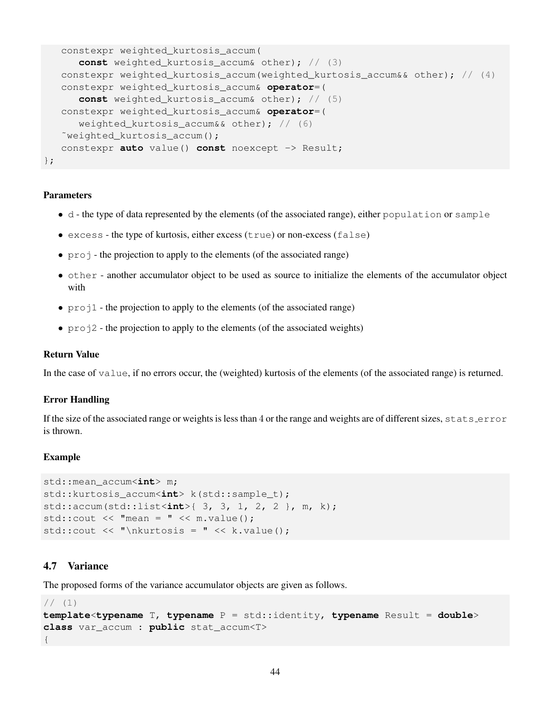```
constexpr weighted_kurtosis_accum(
      const weighted_kurtosis_accum& other); // (3)
   constexpr weighted_kurtosis_accum(weighted_kurtosis_accum&& other); // (4)
   constexpr weighted_kurtosis_accum& operator=(
      const weighted_kurtosis_accum& other); // (5)
   constexpr weighted_kurtosis_accum& operator=(
      weighted_kurtosis_accum&& other); // (6)
   ~weighted kurtosis accum();
   constexpr auto value() const noexcept -> Result;
};
```
- d the type of data represented by the elements (of the associated range), either population or sample
- $\bullet$  excess the type of kurtosis, either excess (true) or non-excess (false)
- proj the projection to apply to the elements (of the associated range)
- other another accumulator object to be used as source to initialize the elements of the accumulator object with
- $\text{proj1}$  the projection to apply to the elements (of the associated range)
- $p_{\text{rel}}^2$  the projection to apply to the elements (of the associated weights)

#### Return Value

In the case of value, if no errors occur, the (weighted) kurtosis of the elements (of the associated range) is returned.

#### Error Handling

If the size of the associated range or weights is less than  $4$  or the range and weights are of different sizes, stats error is thrown.

#### Example

```
std::mean_accum<int> m;
std::kurtosis_accum<int> k(std::sample_t);
std::accum(std::list<int>{ 3, 3, 1, 2, 2 }, m, k);
std::cout << "mean = " << m.value();
std::cout << "\nkurtosis = " << k.value();
```
## 4.7 Variance

The proposed forms of the variance accumulator objects are given as follows.

```
// (1)template<typename T, typename P = std:identity, typename Result = double>
class var_accum : public stat_accum<T>
{
```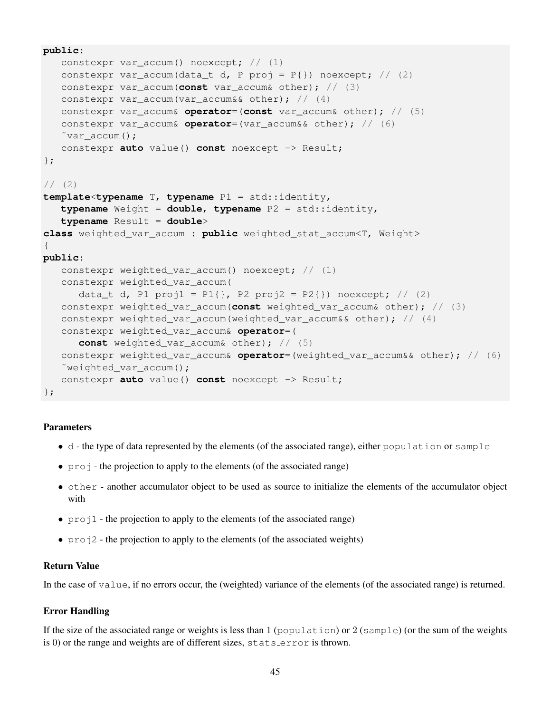```
public:
   constexpr var_accum() noexcept; // (1)
   constexpr var_accum(data_t d, P proj = P\{\}) noexcept; // (2)
   constexpr var_accum(const var_accum& other); // (3)
   constexpr var_accum(var_accum&& other); // (4)
   constexpr var_accum& operator=(const var_accum& other); // (5)
   constexpr var_accum& operator=(var_accum&& other); // (6)
   \tilde{v}var accum();
   constexpr auto value() const noexcept -> Result;
};
1/ (2)template<typename T, typename P1 = std::identity,
   typename Weight = double, typename P2 = std::identity,
   typename Result = double>
class weighted_var_accum : public weighted_stat_accum<T, Weight>
{
public:
   constexpr weighted_var_accum() noexcept; // (1)
   constexpr weighted_var_accum(
      data_t d, P1 proj1 = P1{}, P2 proj2 = P2{}) noexcept; // (2)
   constexpr weighted_var_accum(const weighted_var_accum& other); // (3)
   constexpr weighted_var_accum(weighted_var_accum&& other); // (4)
   constexpr weighted_var_accum& operator=(
      const weighted_var_accum& other); // (5)
   constexpr weighted_var_accum& operator=(weighted_var_accum&& other); // (6)
   ˜weighted_var_accum();
   constexpr auto value() const noexcept -> Result;
};
```
- d the type of data represented by the elements (of the associated range), either population or sample
- $\pi$  projection to apply to the elements (of the associated range)
- other another accumulator object to be used as source to initialize the elements of the accumulator object with
- proj1 the projection to apply to the elements (of the associated range)
- proj2 the projection to apply to the elements (of the associated weights)

#### Return Value

In the case of value, if no errors occur, the (weighted) variance of the elements (of the associated range) is returned.

#### Error Handling

If the size of the associated range or weights is less than 1 (population) or 2 (sample) (or the sum of the weights is 0) or the range and weights are of different sizes, stats error is thrown.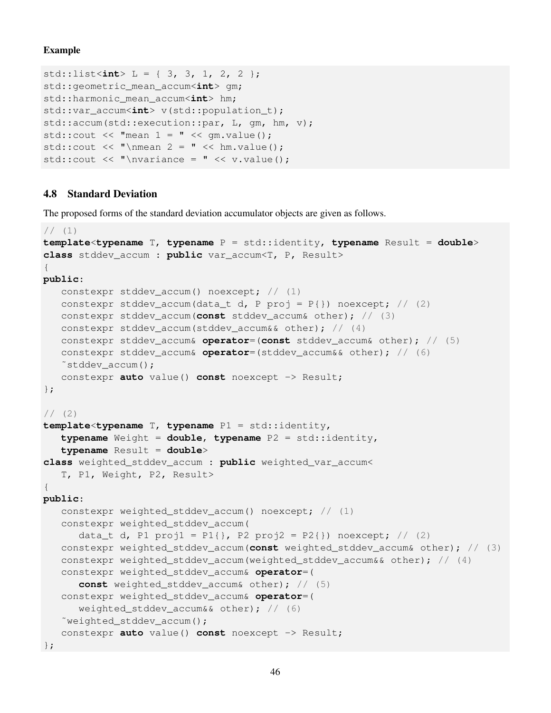## Example

```
std::list<int> L = { 3, 3, 1, 2, 2 };
std::geometric_mean_accum<int> gm;
std::harmonic_mean_accum<int> hm;
std::var_accum<int> v(std::population_t);
std::accum(std::execution::par, L, gm, hm, v);
std::cout \lt\lt "mean 1 = " \lt\lt \text{qm.value}();
std::cout << "\nmean 2 = " << hm.value();
std::cout \langle \cdot \rangle "\nvariance = " \langle \cdot \rangle v.value();
```
## 4.8 Standard Deviation

The proposed forms of the standard deviation accumulator objects are given as follows.

```
1/ (1)template<typename T, typename P = std::identity, typename Result = double>
class stddev_accum : public var_accum<T, P, Result>
{
public:
   constexpr stddev_accum() noexcept; // (1)
   constexpr stddev_accum(data_t d, P proj = P{}) noexcept; // (2)
   constexpr stddev_accum(const stddev_accum& other); // (3)
   constexpr stddev accum(stddev accum&& other); // (4)
   constexpr stddev_accum& operator=(const stddev_accum& other); // (5)
   constexpr stddev_accum& operator=(stddev_accum&& other); // (6)
   ˜stddev_accum();
   constexpr auto value() const noexcept -> Result;
};
1/ (2)template<typename T, typename P1 = std::identity,
   typename Weight = double, typename P2 = std::identity,
   typename Result = double>
class weighted_stddev_accum : public weighted_var_accum<
   T, P1, Weight, P2, Result>
{
public:
   constexpr weighted_stddev_accum() noexcept; // (1)
   constexpr weighted_stddev_accum(
      data_t d, P1 proj1 = P1{}, P2 proj2 = P2{}) noexcept; // (2)
   constexpr weighted_stddev_accum(const weighted_stddev_accum& other); // (3)
   constexpr weighted_stddev_accum(weighted_stddev_accum&& other); // (4)
   constexpr weighted_stddev_accum& operator=(
      const weighted_stddev_accum& other); // (5)
   constexpr weighted_stddev_accum& operator=(
      weighted_stddev_accum&& other); // (6)
   ˜weighted_stddev_accum();
   constexpr auto value() const noexcept -> Result;
};
```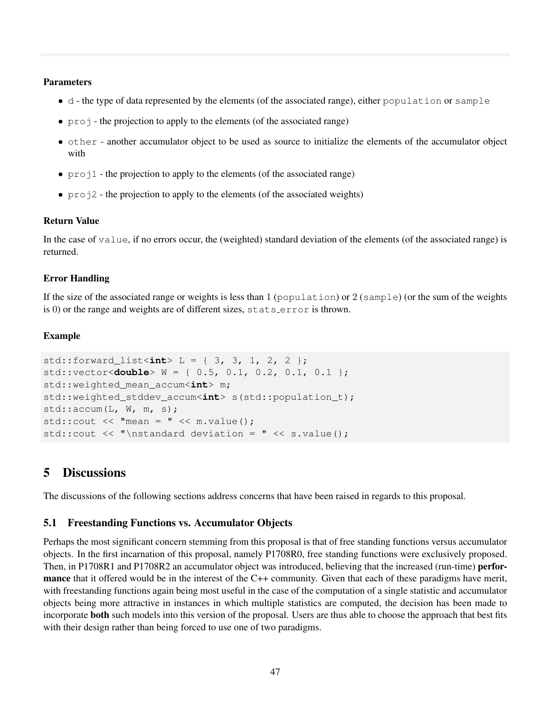- d the type of data represented by the elements (of the associated range), either population or sample
- $\pi$  projection to apply to the elements (of the associated range)
- other another accumulator object to be used as source to initialize the elements of the accumulator object with
- $p_{\text{rel}}$  the projection to apply to the elements (of the associated range)
- $p_{\text{rel}}^2$  the projection to apply to the elements (of the associated weights)

## Return Value

In the case of value, if no errors occur, the (weighted) standard deviation of the elements (of the associated range) is returned.

## Error Handling

If the size of the associated range or weights is less than 1 (population) or 2 (sample) (or the sum of the weights is 0) or the range and weights are of different sizes, stats error is thrown.

## Example

```
std::forward_list<int> L = { 3, 3, 1, 2, 2 };
std::vector<double> W = { 0.5, 0.1, 0.2, 0.1, 0.1 };
std::weighted mean accum<int> m;
std::weighted_stddev_accum<int> s(std::population_t);
std::accum(L, W, m, s);
std:: cout \lt\lt "mean = " \lt\lt m. value();
std::cout << "\nstandard deviation = " << s.value();
```
## 5 Discussions

The discussions of the following sections address concerns that have been raised in regards to this proposal.

## 5.1 Freestanding Functions vs. Accumulator Objects

Perhaps the most significant concern stemming from this proposal is that of free standing functions versus accumulator objects. In the first incarnation of this proposal, namely P1708R0, free standing functions were exclusively proposed. Then, in P1708R1 and P1708R2 an accumulator object was introduced, believing that the increased (run-time) **perfor**mance that it offered would be in the interest of the C++ community. Given that each of these paradigms have merit, with freestanding functions again being most useful in the case of the computation of a single statistic and accumulator objects being more attractive in instances in which multiple statistics are computed, the decision has been made to incorporate both such models into this version of the proposal. Users are thus able to choose the approach that best fits with their design rather than being forced to use one of two paradigms.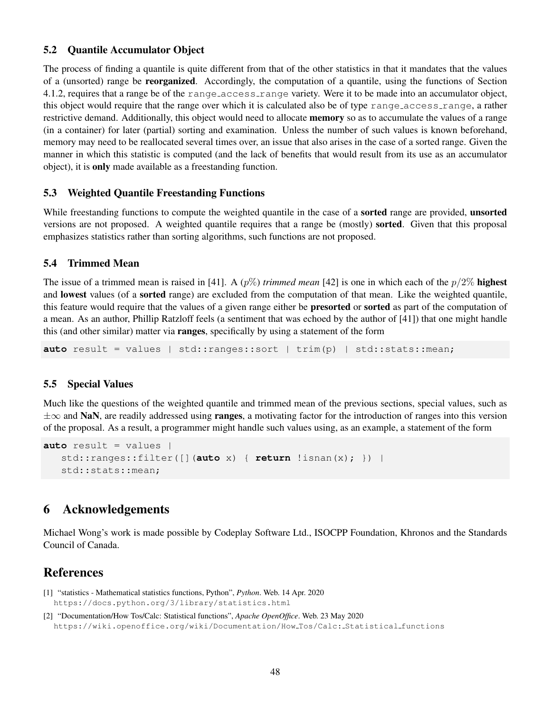## 5.2 Quantile Accumulator Object

The process of finding a quantile is quite different from that of the other statistics in that it mandates that the values of a (unsorted) range be reorganized. Accordingly, the computation of a quantile, using the functions of Section 4.1.2, requires that a range be of the range access range variety. Were it to be made into an accumulator object, this object would require that the range over which it is calculated also be of type range access range, a rather restrictive demand. Additionally, this object would need to allocate **memory** so as to accumulate the values of a range (in a container) for later (partial) sorting and examination. Unless the number of such values is known beforehand, memory may need to be reallocated several times over, an issue that also arises in the case of a sorted range. Given the manner in which this statistic is computed (and the lack of benefits that would result from its use as an accumulator object), it is only made available as a freestanding function.

## 5.3 Weighted Quantile Freestanding Functions

While freestanding functions to compute the weighted quantile in the case of a **sorted** range are provided, **unsorted** versions are not proposed. A weighted quantile requires that a range be (mostly) sorted. Given that this proposal emphasizes statistics rather than sorting algorithms, such functions are not proposed.

## 5.4 Trimmed Mean

The issue of a trimmed mean is raised in [41]. A  $(p\%)$  *trimmed mean* [42] is one in which each of the  $p/2\%$  **highest** and lowest values (of a sorted range) are excluded from the computation of that mean. Like the weighted quantile, this feature would require that the values of a given range either be presorted or sorted as part of the computation of a mean. As an author, Phillip Ratzloff feels (a sentiment that was echoed by the author of [41]) that one might handle this (and other similar) matter via ranges, specifically by using a statement of the form

**auto** result = values | std::ranges::sort | trim(p) | std::stats::mean;

## 5.5 Special Values

Much like the questions of the weighted quantile and trimmed mean of the previous sections, special values, such as  $\pm\infty$  and NaN, are readily addressed using **ranges**, a motivating factor for the introduction of ranges into this version of the proposal. As a result, a programmer might handle such values using, as an example, a statement of the form

```
auto result = values |
   std::ranges::filter([](auto x) { return !isnan(x); }) |
   std::stats::mean;
```
## 6 Acknowledgements

Michael Wong's work is made possible by Codeplay Software Ltd., ISOCPP Foundation, Khronos and the Standards Council of Canada.

## References

- [1] "statistics Mathematical statistics functions, Python", *Python*. Web. 14 Apr. 2020 https://docs.python.org/3/library/statistics.html
- [2] "Documentation/How Tos/Calc: Statistical functions", *Apache OpenOffice*. Web. 23 May 2020 https://wiki.openoffice.org/wiki/Documentation/How Tos/Calc: Statistical functions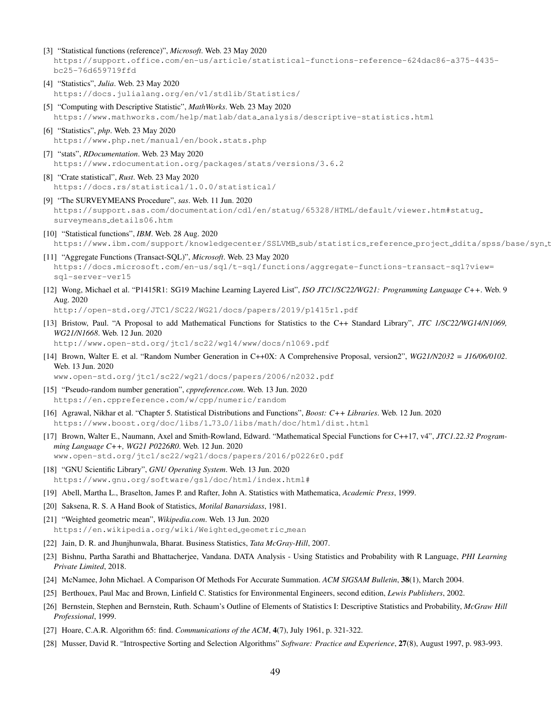- [3] "Statistical functions (reference)", *Microsoft*. Web. 23 May 2020 https://support.office.com/en-us/article/statistical-functions-reference-624dac86-a375-4435 bc25-76d659719ffd
- [4] "Statistics", *Julia*. Web. 23 May 2020 https://docs.julialang.org/en/v1/stdlib/Statistics/
- [5] "Computing with Descriptive Statistic", *MathWorks*. Web. 23 May 2020 https://www.mathworks.com/help/matlab/data analysis/descriptive-statistics.html
- [6] "Statistics", *php*. Web. 23 May 2020 https://www.php.net/manual/en/book.stats.php
- [7] "stats", *RDocumentation*. Web. 23 May 2020 https://www.rdocumentation.org/packages/stats/versions/3.6.2
- [8] "Crate statistical", *Rust*. Web. 23 May 2020 https://docs.rs/statistical/1.0.0/statistical/
- [9] "The SURVEYMEANS Procedure", *sas*. Web. 11 Jun. 2020 https://support.sas.com/documentation/cdl/en/statug/65328/HTML/default/viewer.htm#statug surveymeans details06.htm
- [10] "Statistical functions", *IBM*. Web. 28 Aug. 2020 https://www.ibm.com/support/knowledgecenter/SSLVMB\_sub/statistics\_reference\_project\_ddita/spss/base/syn\_t
- [11] "Aggregate Functions (Transact-SQL)", *Microsoft*. Web. 23 May 2020 https://docs.microsoft.com/en-us/sql/t-sql/functions/aggregate-functions-transact-sql?view= sql-server-ver15
- [12] Wong, Michael et al. "P1415R1: SG19 Machine Learning Layered List", *ISO JTC1/SC22/WG21: Programming Language C++*. Web. 9 Aug. 2020

http://open-std.org/JTC1/SC22/WG21/docs/papers/2019/p1415r1.pdf

[13] Bristow, Paul. "A Proposal to add Mathematical Functions for Statistics to the C++ Standard Library", *JTC 1/SC22/WG14/N1069, WG21/N1668*. Web. 12 Jun. 2020

http://www.open-std.org/jtc1/sc22/wg14/www/docs/n1069.pdf

[14] Brown, Walter E. et al. "Random Number Generation in C++0X: A Comprehensive Proposal, version2", *WG21/N2032 = J16/06/0102*. Web. 13 Jun. 2020

www.open-std.org/jtc1/sc22/wg21/docs/papers/2006/n2032.pdf

- [15] "Pseudo-random number generation", *cppreference.com*. Web. 13 Jun. 2020 https://en.cppreference.com/w/cpp/numeric/random
- [16] Agrawal, Nikhar et al. "Chapter 5. Statistical Distributions and Functions", *Boost: C++ Libraries*. Web. 12 Jun. 2020 https://www.boost.org/doc/libs/1 73 0/libs/math/doc/html/dist.html
- [17] Brown, Walter E., Naumann, Axel and Smith-Rowland, Edward. "Mathematical Special Functions for C++17, v4", *JTC1.22.32 Programming Language C++, WG21 P0226R0*. Web. 12 Jun. 2020 www.open-std.org/jtc1/sc22/wg21/docs/papers/2016/p0226r0.pdf
- [18] "GNU Scientific Library", *GNU Operating System*. Web. 13 Jun. 2020 https://www.gnu.org/software/gsl/doc/html/index.html#
- [19] Abell, Martha L., Braselton, James P. and Rafter, John A. Statistics with Mathematica, *Academic Press*, 1999.
- [20] Saksena, R. S. A Hand Book of Statistics, *Motilal Banarsidass*, 1981.
- [21] "Weighted geometric mean", *Wikipedia.com*. Web. 13 Jun. 2020 https://en.wikipedia.org/wiki/Weighted\_geometric\_mean
- [22] Jain, D. R. and Jhunjhunwala, Bharat. Business Statistics, *Tata McGray-Hill*, 2007.
- [23] Bishnu, Partha Sarathi and Bhattacherjee, Vandana. DATA Analysis Using Statistics and Probability with R Language, *PHI Learning Private Limited*, 2018.
- [24] McNamee, John Michael. A Comparison Of Methods For Accurate Summation. *ACM SIGSAM Bulletin*, 38(1), March 2004.
- [25] Berthouex, Paul Mac and Brown, Linfield C. Statistics for Environmental Engineers, second edition, *Lewis Publishers*, 2002.
- [26] Bernstein, Stephen and Bernstein, Ruth. Schaum's Outline of Elements of Statistics I: Descriptive Statistics and Probability, *McGraw Hill Professional*, 1999.
- [27] Hoare, C.A.R. Algorithm 65: find. *Communications of the ACM*, 4(7), July 1961, p. 321-322.
- [28] Musser, David R. "Introspective Sorting and Selection Algorithms" *Software: Practice and Experience*, 27(8), August 1997, p. 983-993.